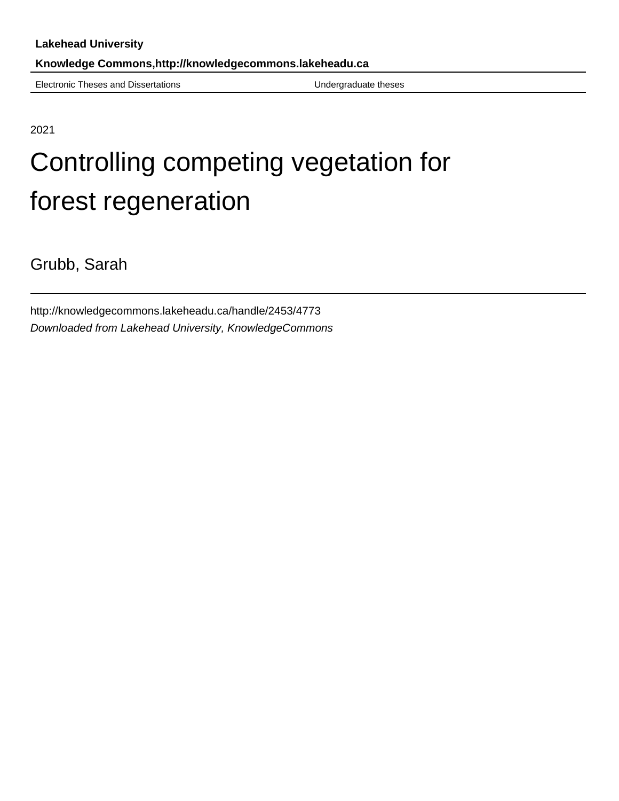Electronic Theses and Dissertations **Electronic Theses** Undergraduate theses

2021

# Controlling competing vegetation for forest regeneration

Grubb, Sarah

http://knowledgecommons.lakeheadu.ca/handle/2453/4773 Downloaded from Lakehead University, KnowledgeCommons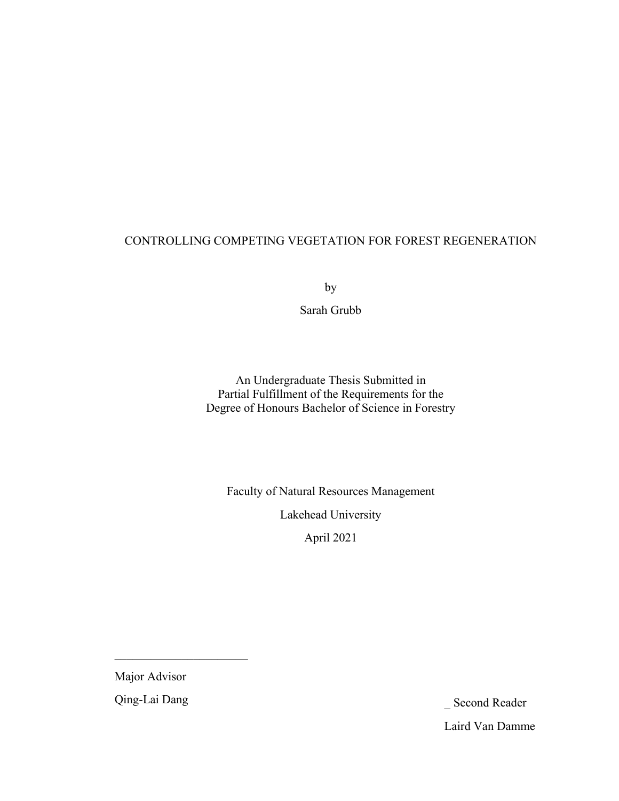# CONTROLLING COMPETING VEGETATION FOR FOREST REGENERATION

by

Sarah Grubb

An Undergraduate Thesis Submitted in Partial Fulfillment of the Requirements for the Degree of Honours Bachelor of Science in Forestry

Faculty of Natural Resources Management

Lakehead University

April 2021

Major Advisor

Qing-Lai Dang \_ Second Reader Laird Van Damme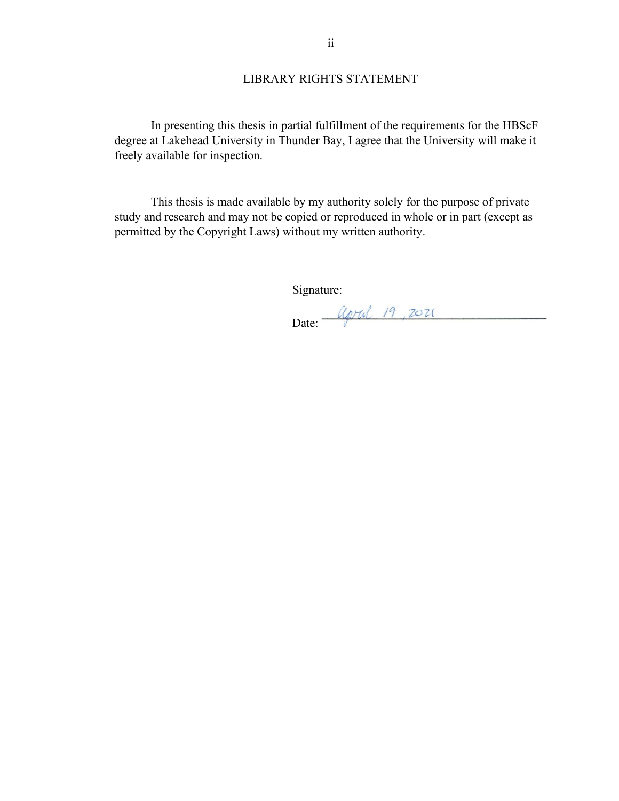# LIBRARY RIGHTS STATEMENT

In presenting this thesis in partial fulfillment of the requirements for the HBScF degree at Lakehead University in Thunder Bay, I agree that the University will make it freely available for inspection.

This thesis is made available by my authority solely for the purpose of private study and research and may not be copied or reproduced in whole or in part (except as permitted by the Copyright Laws) without my written authority.

Signature:

Date: <u>Caral</u> 19, 2021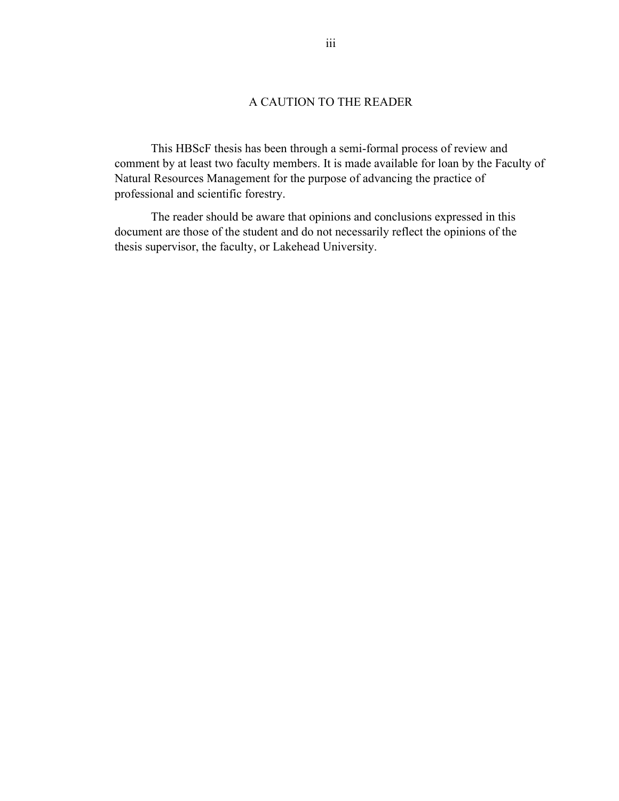# A CAUTION TO THE READER

This HBScF thesis has been through a semi-formal process of review and comment by at least two faculty members. It is made available for loan by the Faculty of Natural Resources Management for the purpose of advancing the practice of professional and scientific forestry.

The reader should be aware that opinions and conclusions expressed in this document are those of the student and do not necessarily reflect the opinions of the thesis supervisor, the faculty, or Lakehead University.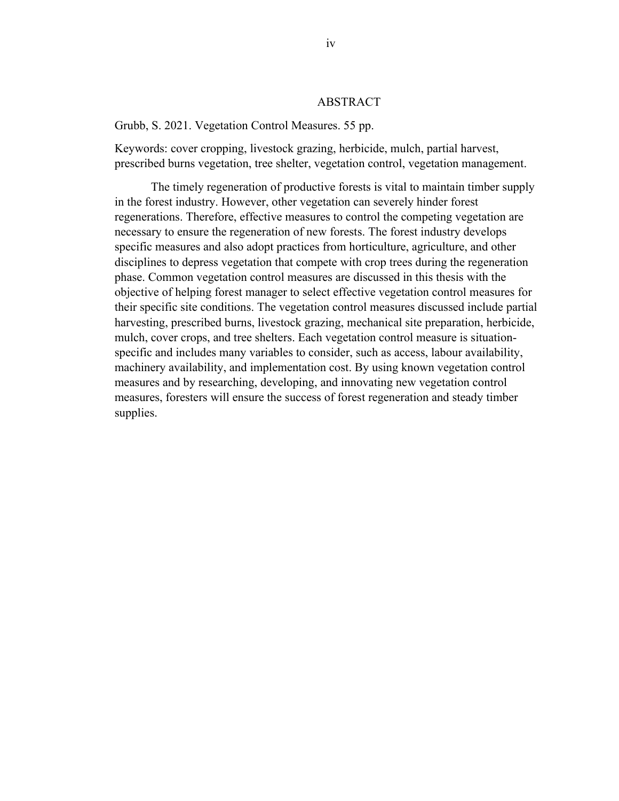#### ABSTRACT

Grubb, S. 2021. Vegetation Control Measures. 55 pp.

Keywords: cover cropping, livestock grazing, herbicide, mulch, partial harvest, prescribed burns vegetation, tree shelter, vegetation control, vegetation management.

The timely regeneration of productive forests is vital to maintain timber supply in the forest industry. However, other vegetation can severely hinder forest regenerations. Therefore, effective measures to control the competing vegetation are necessary to ensure the regeneration of new forests. The forest industry develops specific measures and also adopt practices from horticulture, agriculture, and other disciplines to depress vegetation that compete with crop trees during the regeneration phase. Common vegetation control measures are discussed in this thesis with the objective of helping forest manager to select effective vegetation control measures for their specific site conditions. The vegetation control measures discussed include partial harvesting, prescribed burns, livestock grazing, mechanical site preparation, herbicide, mulch, cover crops, and tree shelters. Each vegetation control measure is situationspecific and includes many variables to consider, such as access, labour availability, machinery availability, and implementation cost. By using known vegetation control measures and by researching, developing, and innovating new vegetation control measures, foresters will ensure the success of forest regeneration and steady timber supplies.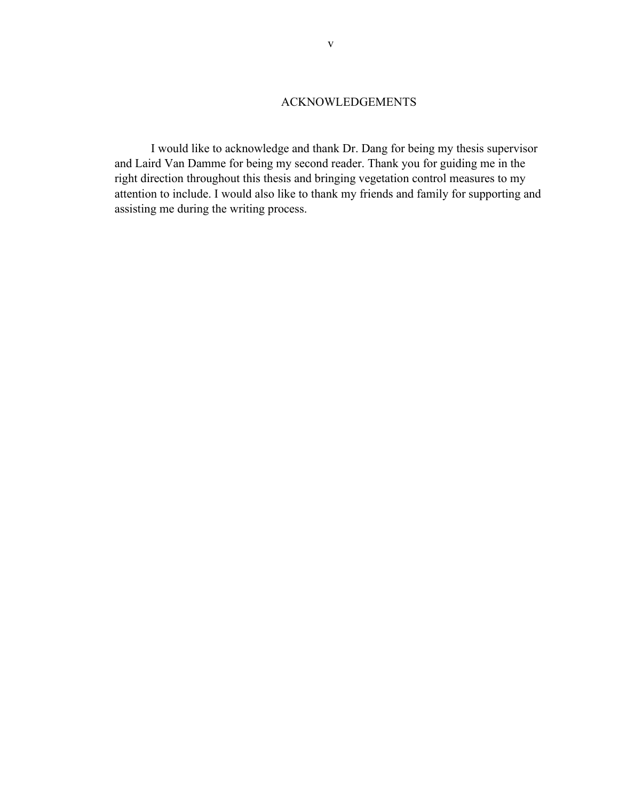## ACKNOWLEDGEMENTS

I would like to acknowledge and thank Dr. Dang for being my thesis supervisor and Laird Van Damme for being my second reader. Thank you for guiding me in the right direction throughout this thesis and bringing vegetation control measures to my attention to include. I would also like to thank my friends and family for supporting and assisting me during the writing process.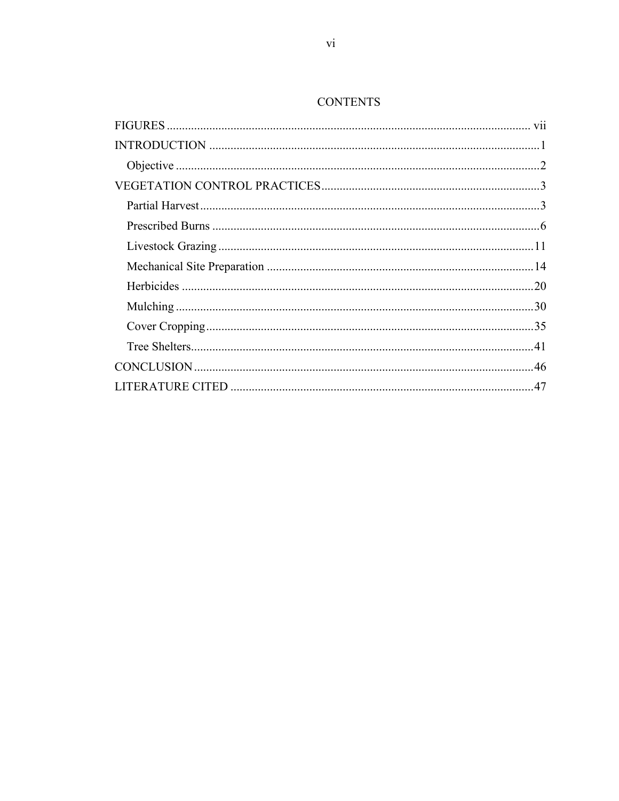# **CONTENTS**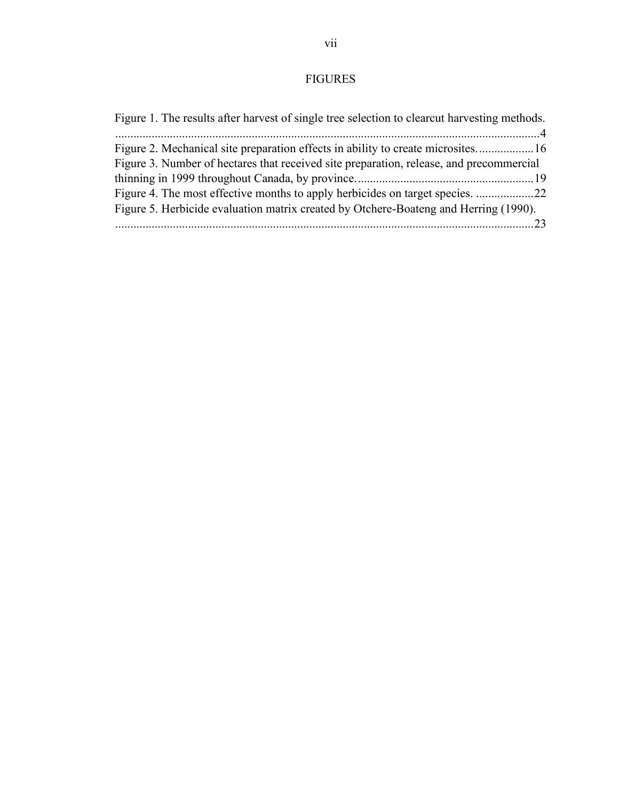# FIGURES

<span id="page-7-0"></span>

| Figure 1. The results after harvest of single tree selection to clearcut harvesting methods. |
|----------------------------------------------------------------------------------------------|
|                                                                                              |
| Figure 2. Mechanical site preparation effects in ability to create microsites 16             |
| Figure 3. Number of hectares that received site preparation, release, and precommercial      |
|                                                                                              |
| Figure 4. The most effective months to apply herbicides on target species. 22                |
| Figure 5. Herbicide evaluation matrix created by Otchere-Boateng and Herring (1990).         |
|                                                                                              |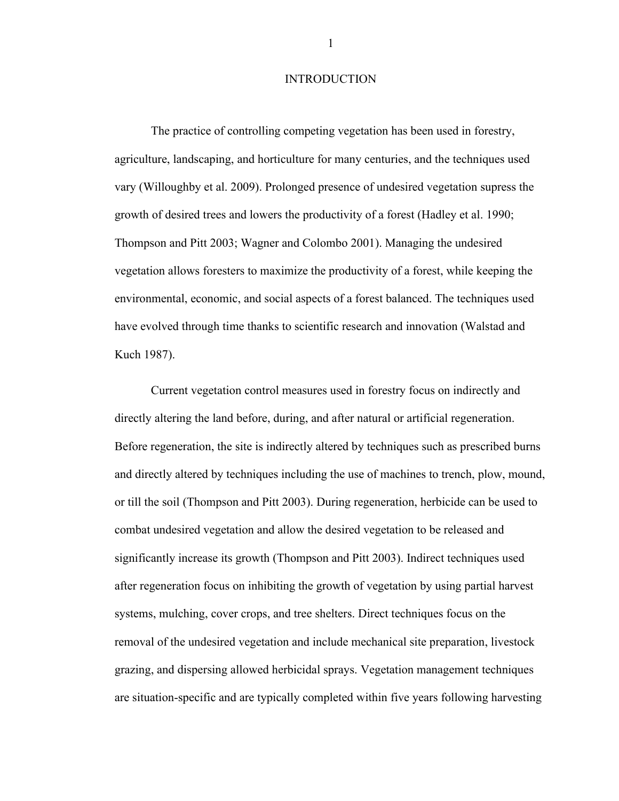#### **INTRODUCTION**

<span id="page-8-0"></span>The practice of controlling competing vegetation has been used in forestry, agriculture, landscaping, and horticulture for many centuries, and the techniques used vary (Willoughby et al. 2009). Prolonged presence of undesired vegetation supress the growth of desired trees and lowers the productivity of a forest (Hadley et al. 1990; Thompson and Pitt 2003; Wagner and Colombo 2001). Managing the undesired vegetation allows foresters to maximize the productivity of a forest, while keeping the environmental, economic, and social aspects of a forest balanced. The techniques used have evolved through time thanks to scientific research and innovation (Walstad and Kuch 1987).

Current vegetation control measures used in forestry focus on indirectly and directly altering the land before, during, and after natural or artificial regeneration. Before regeneration, the site is indirectly altered by techniques such as prescribed burns and directly altered by techniques including the use of machines to trench, plow, mound, or till the soil (Thompson and Pitt 2003). During regeneration, herbicide can be used to combat undesired vegetation and allow the desired vegetation to be released and significantly increase its growth (Thompson and Pitt 2003). Indirect techniques used after regeneration focus on inhibiting the growth of vegetation by using partial harvest systems, mulching, cover crops, and tree shelters. Direct techniques focus on the removal of the undesired vegetation and include mechanical site preparation, livestock grazing, and dispersing allowed herbicidal sprays. Vegetation management techniques are situation-specific and are typically completed within five years following harvesting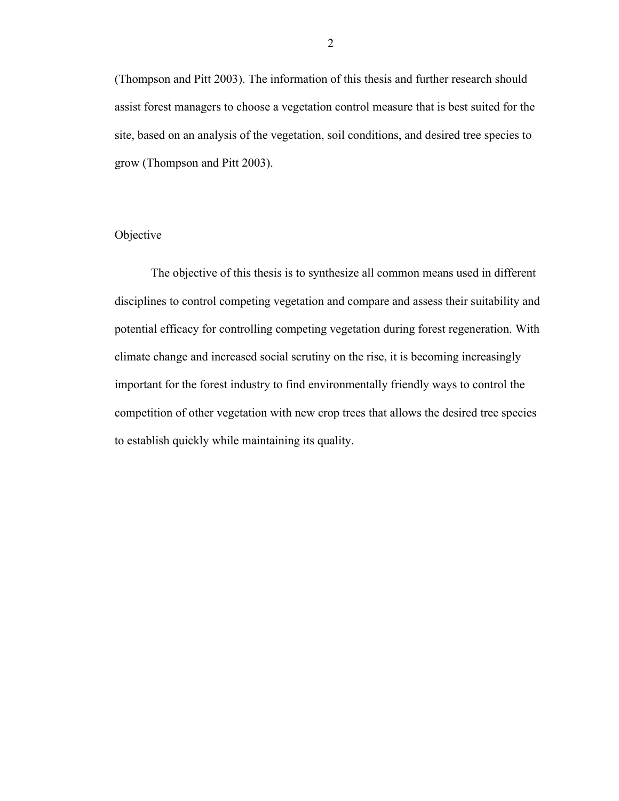(Thompson and Pitt 2003). The information of this thesis and further research should assist forest managers to choose a vegetation control measure that is best suited for the site, based on an analysis of the vegetation, soil conditions, and desired tree species to grow (Thompson and Pitt 2003).

## <span id="page-9-0"></span>Objective

The objective of this thesis is to synthesize all common means used in different disciplines to control competing vegetation and compare and assess their suitability and potential efficacy for controlling competing vegetation during forest regeneration. With climate change and increased social scrutiny on the rise, it is becoming increasingly important for the forest industry to find environmentally friendly ways to control the competition of other vegetation with new crop trees that allows the desired tree species to establish quickly while maintaining its quality.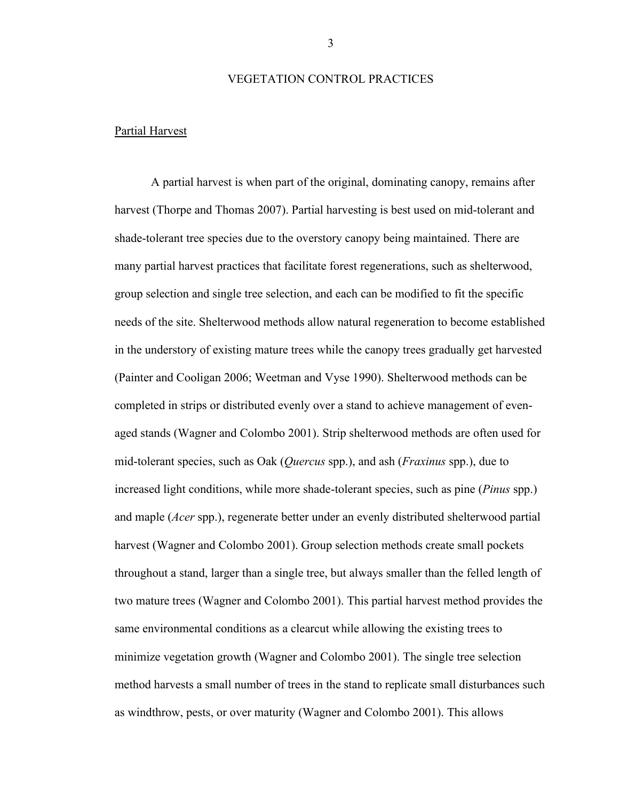#### VEGETATION CONTROL PRACTICES

#### <span id="page-10-1"></span><span id="page-10-0"></span>Partial Harvest

A partial harvest is when part of the original, dominating canopy, remains after harvest (Thorpe and Thomas 2007). Partial harvesting is best used on mid-tolerant and shade-tolerant tree species due to the overstory canopy being maintained. There are many partial harvest practices that facilitate forest regenerations, such as shelterwood, group selection and single tree selection, and each can be modified to fit the specific needs of the site. Shelterwood methods allow natural regeneration to become established in the understory of existing mature trees while the canopy trees gradually get harvested (Painter and Cooligan 2006; Weetman and Vyse 1990). Shelterwood methods can be completed in strips or distributed evenly over a stand to achieve management of evenaged stands (Wagner and Colombo 2001). Strip shelterwood methods are often used for mid-tolerant species, such as Oak (*Quercus* spp.), and ash (*Fraxinus* spp.), due to increased light conditions, while more shade-tolerant species, such as pine (*Pinus* spp.) and maple (*Acer* spp.), regenerate better under an evenly distributed shelterwood partial harvest (Wagner and Colombo 2001). Group selection methods create small pockets throughout a stand, larger than a single tree, but always smaller than the felled length of two mature trees (Wagner and Colombo 2001). This partial harvest method provides the same environmental conditions as a clearcut while allowing the existing trees to minimize vegetation growth (Wagner and Colombo 2001). The single tree selection method harvests a small number of trees in the stand to replicate small disturbances such as windthrow, pests, or over maturity (Wagner and Colombo 2001). This allows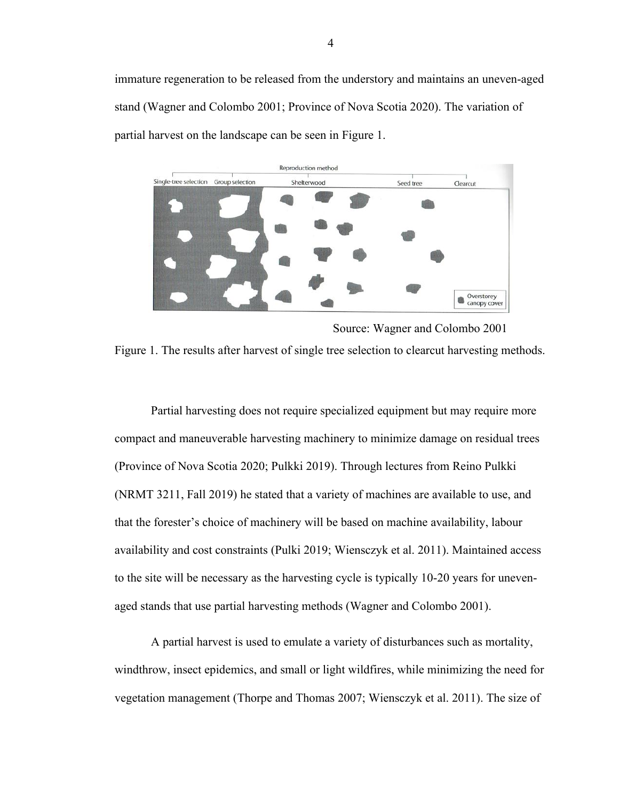immature regeneration to be released from the understory and maintains an uneven-aged stand (Wagner and Colombo 2001; Province of Nova Scotia 2020). The variation of partial harvest on the landscape can be seen in Figure 1.



<span id="page-11-0"></span>Source: Wagner and Colombo 2001 Figure 1. The results after harvest of single tree selection to clearcut harvesting methods.

Partial harvesting does not require specialized equipment but may require more compact and maneuverable harvesting machinery to minimize damage on residual trees (Province of Nova Scotia 2020; Pulkki 2019). Through lectures from Reino Pulkki (NRMT 3211, Fall 2019) he stated that a variety of machines are available to use, and that the forester's choice of machinery will be based on machine availability, labour availability and cost constraints (Pulki 2019; Wiensczyk et al. 2011). Maintained access to the site will be necessary as the harvesting cycle is typically 10-20 years for unevenaged stands that use partial harvesting methods (Wagner and Colombo 2001).

A partial harvest is used to emulate a variety of disturbances such as mortality, windthrow, insect epidemics, and small or light wildfires, while minimizing the need for vegetation management (Thorpe and Thomas 2007; Wiensczyk et al. 2011). The size of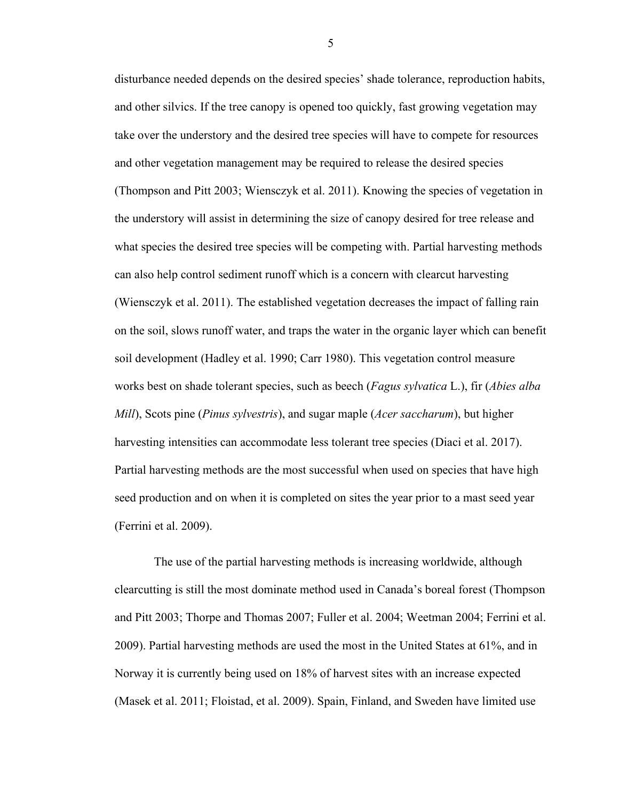disturbance needed depends on the desired species' shade tolerance, reproduction habits, and other silvics. If the tree canopy is opened too quickly, fast growing vegetation may take over the understory and the desired tree species will have to compete for resources and other vegetation management may be required to release the desired species (Thompson and Pitt 2003; Wiensczyk et al. 2011). Knowing the species of vegetation in the understory will assist in determining the size of canopy desired for tree release and what species the desired tree species will be competing with. Partial harvesting methods can also help control sediment runoff which is a concern with clearcut harvesting (Wiensczyk et al. 2011). The established vegetation decreases the impact of falling rain on the soil, slows runoff water, and traps the water in the organic layer which can benefit soil development (Hadley et al. 1990; Carr 1980). This vegetation control measure works best on shade tolerant species, such as beech (*Fagus sylvatica* L.), fir (*Abies alba Mill*), Scots pine (*Pinus sylvestris*), and sugar maple (*Acer saccharum*), but higher harvesting intensities can accommodate less tolerant tree species (Diaci et al. 2017). Partial harvesting methods are the most successful when used on species that have high seed production and on when it is completed on sites the year prior to a mast seed year (Ferrini et al. 2009).

The use of the partial harvesting methods is increasing worldwide, although clearcutting is still the most dominate method used in Canada's boreal forest (Thompson and Pitt 2003; Thorpe and Thomas 2007; Fuller et al. 2004; Weetman 2004; Ferrini et al. 2009). Partial harvesting methods are used the most in the United States at 61%, and in Norway it is currently being used on 18% of harvest sites with an increase expected (Masek et al. 2011; Floistad, et al. 2009). Spain, Finland, and Sweden have limited use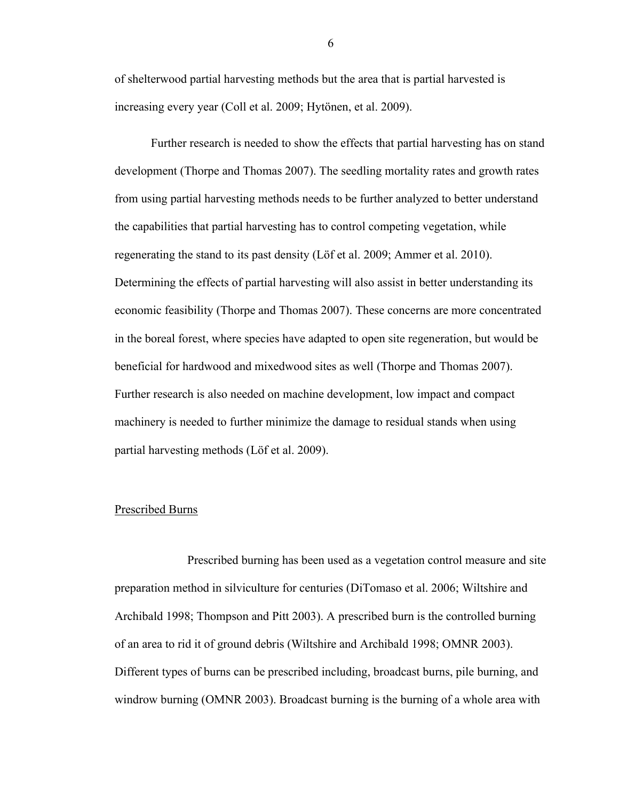of shelterwood partial harvesting methods but the area that is partial harvested is increasing every year (Coll et al. 2009; Hytönen, et al. 2009).

Further research is needed to show the effects that partial harvesting has on stand development (Thorpe and Thomas 2007). The seedling mortality rates and growth rates from using partial harvesting methods needs to be further analyzed to better understand the capabilities that partial harvesting has to control competing vegetation, while regenerating the stand to its past density (Löf et al. 2009; Ammer et al. 2010). Determining the effects of partial harvesting will also assist in better understanding its economic feasibility (Thorpe and Thomas 2007). These concerns are more concentrated in the boreal forest, where species have adapted to open site regeneration, but would be beneficial for hardwood and mixedwood sites as well (Thorpe and Thomas 2007). Further research is also needed on machine development, low impact and compact machinery is needed to further minimize the damage to residual stands when using partial harvesting methods (Löf et al. 2009).

#### <span id="page-13-0"></span>Prescribed Burns

Prescribed burning has been used as a vegetation control measure and site preparation method in silviculture for centuries (DiTomaso et al. 2006; Wiltshire and Archibald 1998; Thompson and Pitt 2003). A prescribed burn is the controlled burning of an area to rid it of ground debris (Wiltshire and Archibald 1998; OMNR 2003). Different types of burns can be prescribed including, broadcast burns, pile burning, and windrow burning (OMNR 2003). Broadcast burning is the burning of a whole area with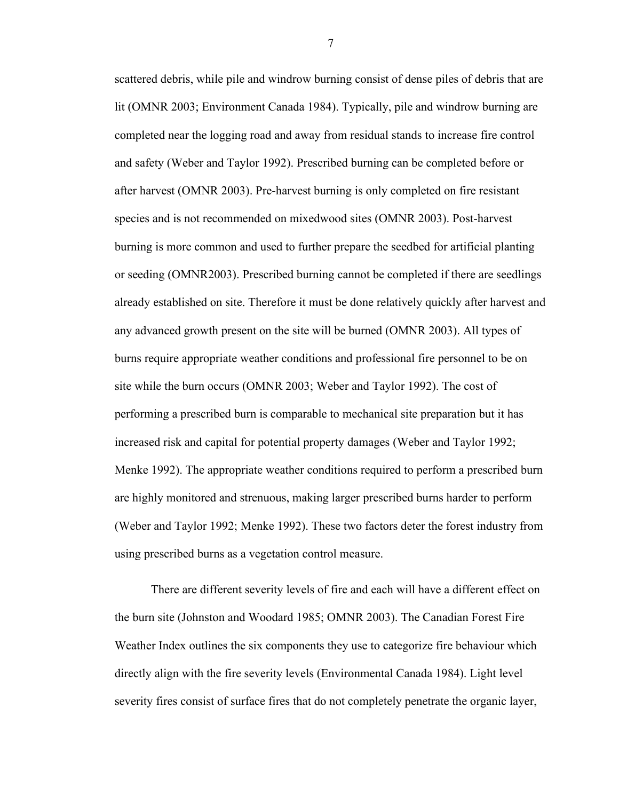scattered debris, while pile and windrow burning consist of dense piles of debris that are lit (OMNR 2003; Environment Canada 1984). Typically, pile and windrow burning are completed near the logging road and away from residual stands to increase fire control and safety (Weber and Taylor 1992). Prescribed burning can be completed before or after harvest (OMNR 2003). Pre-harvest burning is only completed on fire resistant species and is not recommended on mixedwood sites (OMNR 2003). Post-harvest burning is more common and used to further prepare the seedbed for artificial planting or seeding (OMNR2003). Prescribed burning cannot be completed if there are seedlings already established on site. Therefore it must be done relatively quickly after harvest and any advanced growth present on the site will be burned (OMNR 2003). All types of burns require appropriate weather conditions and professional fire personnel to be on site while the burn occurs (OMNR 2003; Weber and Taylor 1992). The cost of performing a prescribed burn is comparable to mechanical site preparation but it has increased risk and capital for potential property damages (Weber and Taylor 1992; Menke 1992). The appropriate weather conditions required to perform a prescribed burn are highly monitored and strenuous, making larger prescribed burns harder to perform (Weber and Taylor 1992; Menke 1992). These two factors deter the forest industry from using prescribed burns as a vegetation control measure.

There are different severity levels of fire and each will have a different effect on the burn site (Johnston and Woodard 1985; OMNR 2003). The Canadian Forest Fire Weather Index outlines the six components they use to categorize fire behaviour which directly align with the fire severity levels (Environmental Canada 1984). Light level severity fires consist of surface fires that do not completely penetrate the organic layer,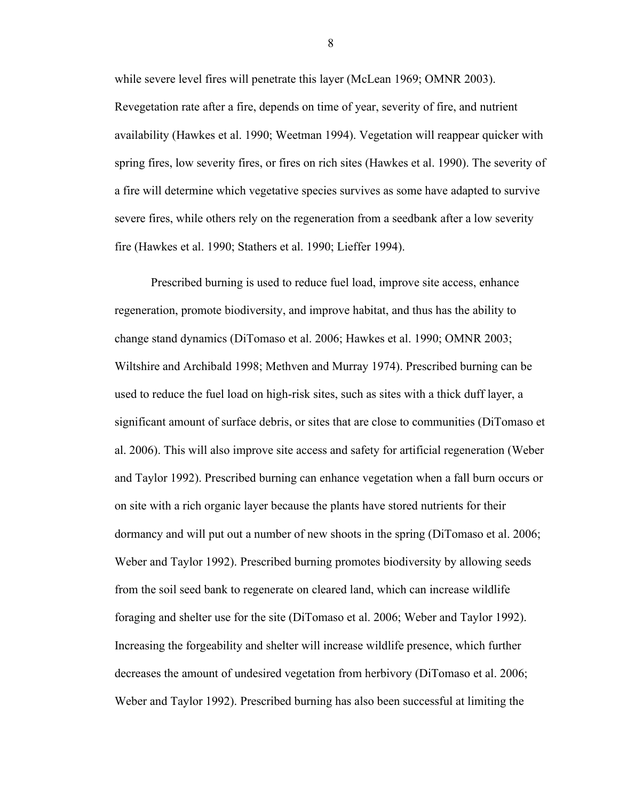while severe level fires will penetrate this layer (McLean 1969; OMNR 2003). Revegetation rate after a fire, depends on time of year, severity of fire, and nutrient availability (Hawkes et al. 1990; Weetman 1994). Vegetation will reappear quicker with spring fires, low severity fires, or fires on rich sites (Hawkes et al. 1990). The severity of a fire will determine which vegetative species survives as some have adapted to survive severe fires, while others rely on the regeneration from a seedbank after a low severity fire (Hawkes et al. 1990; Stathers et al. 1990; Lieffer 1994).

Prescribed burning is used to reduce fuel load, improve site access, enhance regeneration, promote biodiversity, and improve habitat, and thus has the ability to change stand dynamics (DiTomaso et al. 2006; Hawkes et al. 1990; OMNR 2003; Wiltshire and Archibald 1998; Methven and Murray 1974). Prescribed burning can be used to reduce the fuel load on high-risk sites, such as sites with a thick duff layer, a significant amount of surface debris, or sites that are close to communities (DiTomaso et al. 2006). This will also improve site access and safety for artificial regeneration (Weber and Taylor 1992). Prescribed burning can enhance vegetation when a fall burn occurs or on site with a rich organic layer because the plants have stored nutrients for their dormancy and will put out a number of new shoots in the spring (DiTomaso et al. 2006; Weber and Taylor 1992). Prescribed burning promotes biodiversity by allowing seeds from the soil seed bank to regenerate on cleared land, which can increase wildlife foraging and shelter use for the site (DiTomaso et al. 2006; Weber and Taylor 1992). Increasing the forgeability and shelter will increase wildlife presence, which further decreases the amount of undesired vegetation from herbivory (DiTomaso et al. 2006; Weber and Taylor 1992). Prescribed burning has also been successful at limiting the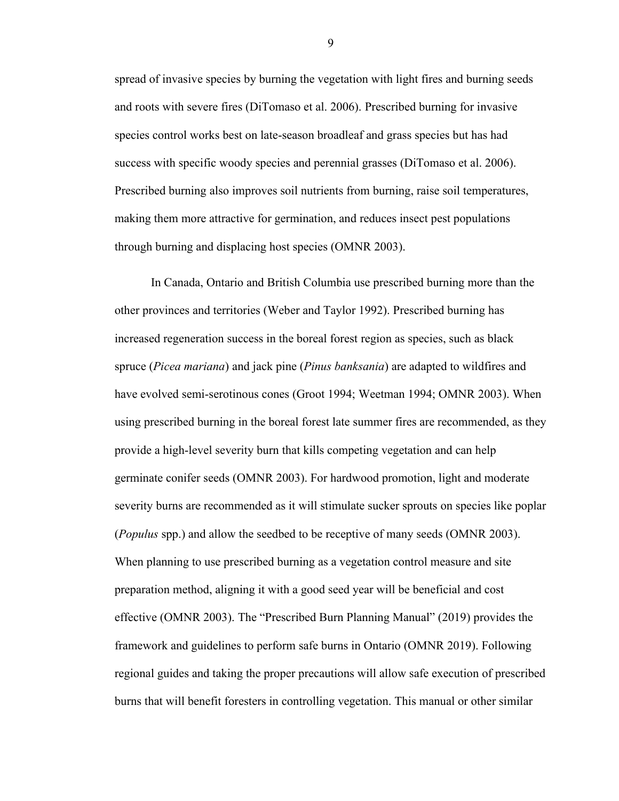spread of invasive species by burning the vegetation with light fires and burning seeds and roots with severe fires (DiTomaso et al. 2006). Prescribed burning for invasive species control works best on late-season broadleaf and grass species but has had success with specific woody species and perennial grasses (DiTomaso et al. 2006). Prescribed burning also improves soil nutrients from burning, raise soil temperatures, making them more attractive for germination, and reduces insect pest populations through burning and displacing host species (OMNR 2003).

In Canada, Ontario and British Columbia use prescribed burning more than the other provinces and territories (Weber and Taylor 1992). Prescribed burning has increased regeneration success in the boreal forest region as species, such as black spruce (*Picea mariana*) and jack pine (*Pinus banksania*) are adapted to wildfires and have evolved semi-serotinous cones (Groot 1994; Weetman 1994; OMNR 2003). When using prescribed burning in the boreal forest late summer fires are recommended, as they provide a high-level severity burn that kills competing vegetation and can help germinate conifer seeds (OMNR 2003). For hardwood promotion, light and moderate severity burns are recommended as it will stimulate sucker sprouts on species like poplar (*Populus* spp.) and allow the seedbed to be receptive of many seeds (OMNR 2003). When planning to use prescribed burning as a vegetation control measure and site preparation method, aligning it with a good seed year will be beneficial and cost effective (OMNR 2003). The "Prescribed Burn Planning Manual" (2019) provides the framework and guidelines to perform safe burns in Ontario (OMNR 2019). Following regional guides and taking the proper precautions will allow safe execution of prescribed burns that will benefit foresters in controlling vegetation. This manual or other similar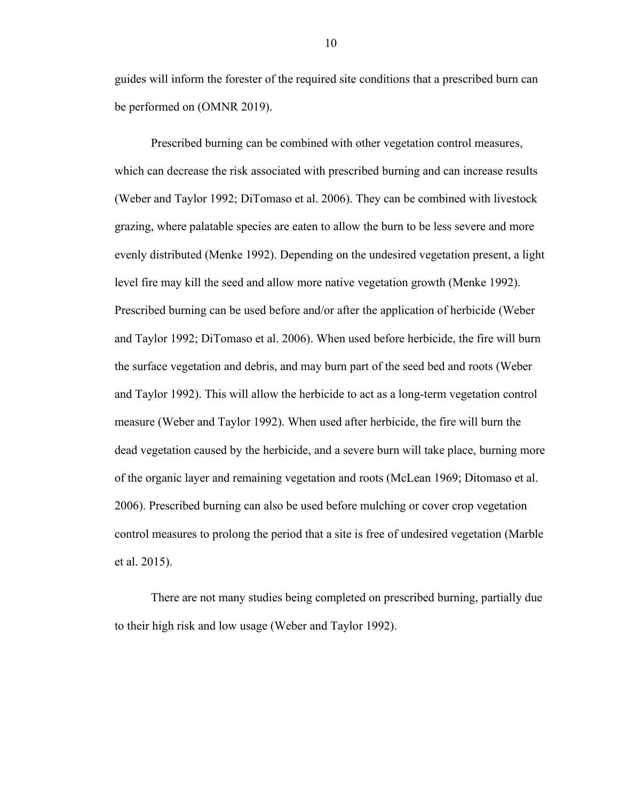guides will inform the forester of the required site conditions that a prescribed burn can be performed on (OMNR 2019).

Prescribed burning can be combined with other vegetation control measures, which can decrease the risk associated with prescribed burning and can increase results (Weber and Taylor 1992; DiTomaso et al. 2006). They can be combined with livestock grazing, where palatable species are eaten to allow the burn to be less severe and more evenly distributed (Menke 1992). Depending on the undesired vegetation present, a light level fire may kill the seed and allow more native vegetation growth (Menke 1992). Prescribed burning can be used before and/or after the application of herbicide (Weber and Taylor 1992; DiTomaso et al. 2006). When used before herbicide, the fire will burn the surface vegetation and debris, and may burn part of the seed bed and roots (Weber and Taylor 1992). This will allow the herbicide to act as a long-term vegetation control measure (Weber and Taylor 1992). When used after herbicide, the fire will burn the dead vegetation caused by the herbicide, and a severe burn will take place, burning more of the organic layer and remaining vegetation and roots (McLean 1969; Ditomaso et al. 2006). Prescribed burning can also be used before mulching or cover crop vegetation control measures to prolong the period that a site is free of undesired vegetation (Marble et al. 2015).

There are not many studies being completed on prescribed burning, partially due to their high risk and low usage (Weber and Taylor 1992).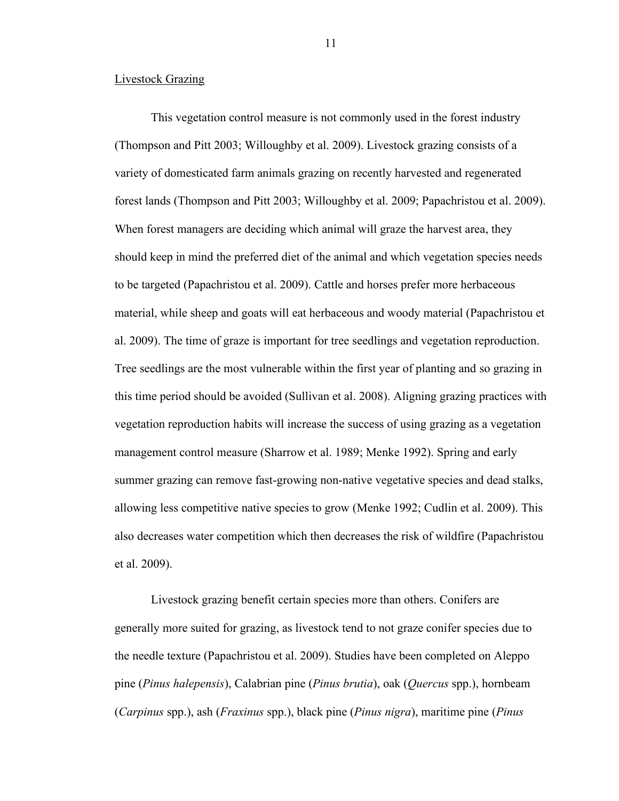#### <span id="page-18-0"></span>Livestock Grazing

This vegetation control measure is not commonly used in the forest industry (Thompson and Pitt 2003; Willoughby et al. 2009). Livestock grazing consists of a variety of domesticated farm animals grazing on recently harvested and regenerated forest lands (Thompson and Pitt 2003; Willoughby et al. 2009; Papachristou et al. 2009). When forest managers are deciding which animal will graze the harvest area, they should keep in mind the preferred diet of the animal and which vegetation species needs to be targeted (Papachristou et al. 2009). Cattle and horses prefer more herbaceous material, while sheep and goats will eat herbaceous and woody material (Papachristou et al. 2009). The time of graze is important for tree seedlings and vegetation reproduction. Tree seedlings are the most vulnerable within the first year of planting and so grazing in this time period should be avoided (Sullivan et al. 2008). Aligning grazing practices with vegetation reproduction habits will increase the success of using grazing as a vegetation management control measure (Sharrow et al. 1989; Menke 1992). Spring and early summer grazing can remove fast-growing non-native vegetative species and dead stalks, allowing less competitive native species to grow (Menke 1992; Cudlin et al. 2009). This also decreases water competition which then decreases the risk of wildfire (Papachristou et al. 2009).

Livestock grazing benefit certain species more than others. Conifers are generally more suited for grazing, as livestock tend to not graze conifer species due to the needle texture (Papachristou et al. 2009). Studies have been completed on Aleppo pine (*Pinus halepensis*), Calabrian pine (*Pinus brutia*), oak (*Quercus* spp.), hornbeam (*Carpinus* spp.), ash (*Fraxinus* spp.), black pine (*Pinus nigra*), maritime pine (*Pinus*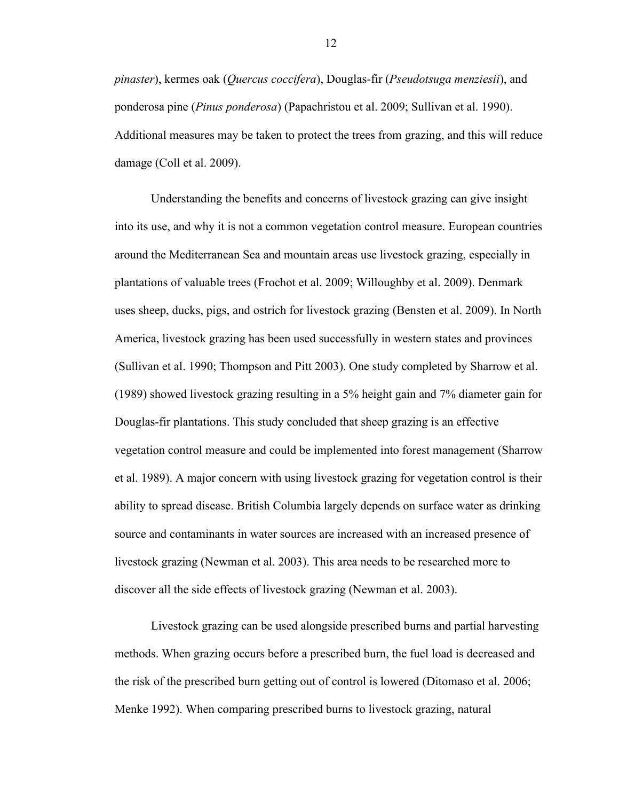*pinaster*), kermes oak (*Quercus coccifera*), Douglas-fir (*Pseudotsuga menziesii*), and ponderosa pine (*Pinus ponderosa*) (Papachristou et al. 2009; Sullivan et al. 1990). Additional measures may be taken to protect the trees from grazing, and this will reduce damage (Coll et al. 2009).

Understanding the benefits and concerns of livestock grazing can give insight into its use, and why it is not a common vegetation control measure. European countries around the Mediterranean Sea and mountain areas use livestock grazing, especially in plantations of valuable trees (Frochot et al. 2009; Willoughby et al. 2009). Denmark uses sheep, ducks, pigs, and ostrich for livestock grazing (Bensten et al. 2009). In North America, livestock grazing has been used successfully in western states and provinces (Sullivan et al. 1990; Thompson and Pitt 2003). One study completed by Sharrow et al. (1989) showed livestock grazing resulting in a 5% height gain and 7% diameter gain for Douglas-fir plantations. This study concluded that sheep grazing is an effective vegetation control measure and could be implemented into forest management (Sharrow et al. 1989). A major concern with using livestock grazing for vegetation control is their ability to spread disease. British Columbia largely depends on surface water as drinking source and contaminants in water sources are increased with an increased presence of livestock grazing (Newman et al. 2003). This area needs to be researched more to discover all the side effects of livestock grazing (Newman et al. 2003).

Livestock grazing can be used alongside prescribed burns and partial harvesting methods. When grazing occurs before a prescribed burn, the fuel load is decreased and the risk of the prescribed burn getting out of control is lowered (Ditomaso et al. 2006; Menke 1992). When comparing prescribed burns to livestock grazing, natural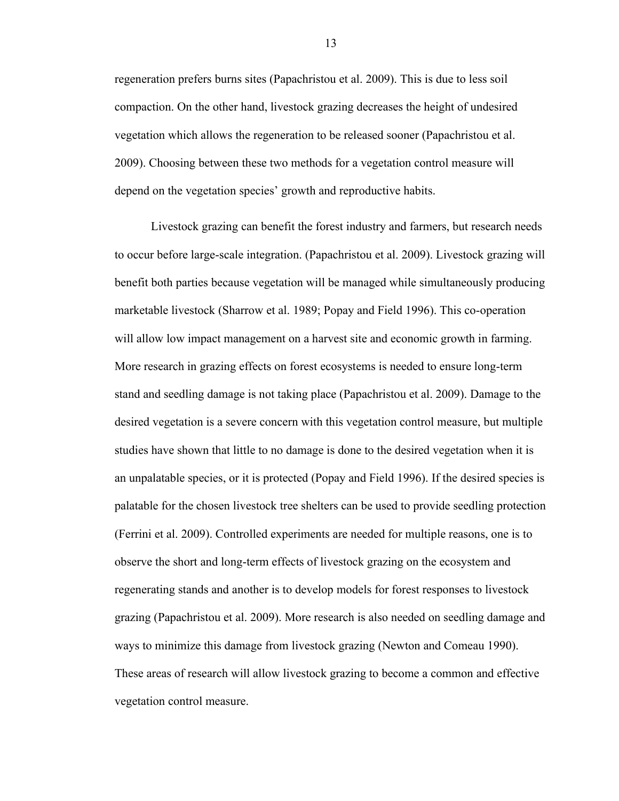regeneration prefers burns sites (Papachristou et al. 2009). This is due to less soil compaction. On the other hand, livestock grazing decreases the height of undesired vegetation which allows the regeneration to be released sooner (Papachristou et al. 2009). Choosing between these two methods for a vegetation control measure will depend on the vegetation species' growth and reproductive habits.

Livestock grazing can benefit the forest industry and farmers, but research needs to occur before large-scale integration. (Papachristou et al. 2009). Livestock grazing will benefit both parties because vegetation will be managed while simultaneously producing marketable livestock (Sharrow et al. 1989; Popay and Field 1996). This co-operation will allow low impact management on a harvest site and economic growth in farming. More research in grazing effects on forest ecosystems is needed to ensure long-term stand and seedling damage is not taking place (Papachristou et al. 2009). Damage to the desired vegetation is a severe concern with this vegetation control measure, but multiple studies have shown that little to no damage is done to the desired vegetation when it is an unpalatable species, or it is protected (Popay and Field 1996). If the desired species is palatable for the chosen livestock tree shelters can be used to provide seedling protection (Ferrini et al. 2009). Controlled experiments are needed for multiple reasons, one is to observe the short and long-term effects of livestock grazing on the ecosystem and regenerating stands and another is to develop models for forest responses to livestock grazing (Papachristou et al. 2009). More research is also needed on seedling damage and ways to minimize this damage from livestock grazing (Newton and Comeau 1990). These areas of research will allow livestock grazing to become a common and effective vegetation control measure.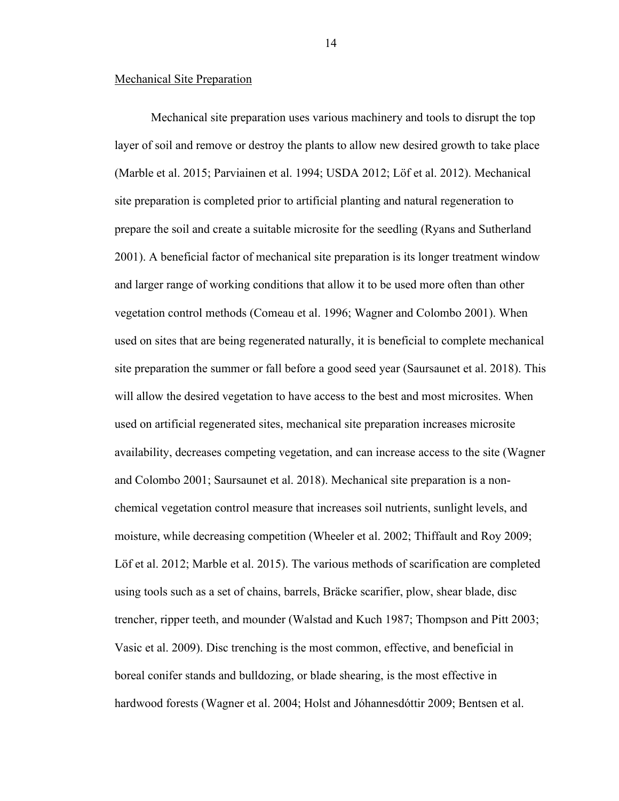#### <span id="page-21-0"></span>Mechanical Site Preparation

Mechanical site preparation uses various machinery and tools to disrupt the top layer of soil and remove or destroy the plants to allow new desired growth to take place (Marble et al. 2015; Parviainen et al. 1994; USDA 2012; Löf et al. 2012). Mechanical site preparation is completed prior to artificial planting and natural regeneration to prepare the soil and create a suitable microsite for the seedling (Ryans and Sutherland 2001). A beneficial factor of mechanical site preparation is its longer treatment window and larger range of working conditions that allow it to be used more often than other vegetation control methods (Comeau et al. 1996; Wagner and Colombo 2001). When used on sites that are being regenerated naturally, it is beneficial to complete mechanical site preparation the summer or fall before a good seed year (Saursaunet et al. 2018). This will allow the desired vegetation to have access to the best and most microsites. When used on artificial regenerated sites, mechanical site preparation increases microsite availability, decreases competing vegetation, and can increase access to the site (Wagner and Colombo 2001; Saursaunet et al. 2018). Mechanical site preparation is a nonchemical vegetation control measure that increases soil nutrients, sunlight levels, and moisture, while decreasing competition (Wheeler et al. 2002; Thiffault and Roy 2009; Löf et al. 2012; Marble et al. 2015). The various methods of scarification are completed using tools such as a set of chains, barrels, Bräcke scarifier, plow, shear blade, disc trencher, ripper teeth, and mounder (Walstad and Kuch 1987; Thompson and Pitt 2003; Vasic et al. 2009). Disc trenching is the most common, effective, and beneficial in boreal conifer stands and bulldozing, or blade shearing, is the most effective in hardwood forests (Wagner et al. 2004; Holst and Jóhannesdóttir 2009; Bentsen et al.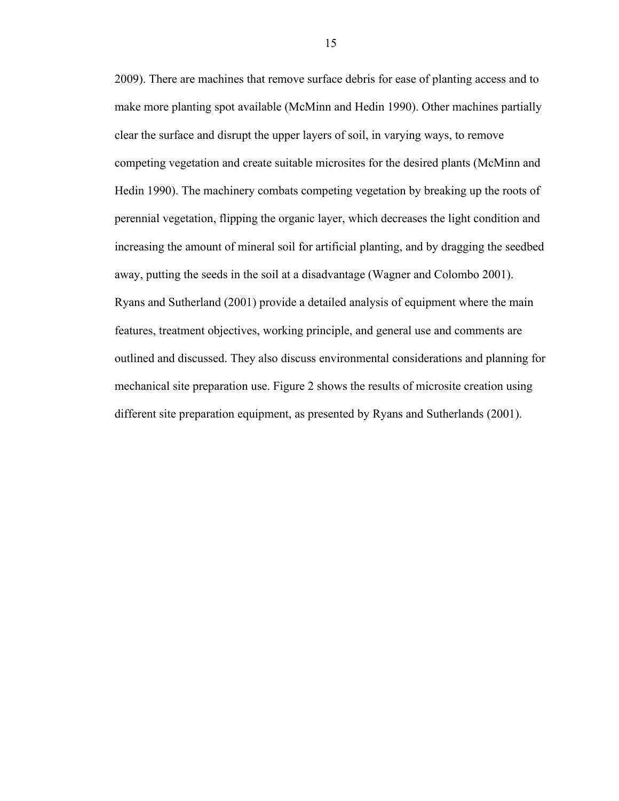2009). There are machines that remove surface debris for ease of planting access and to make more planting spot available (McMinn and Hedin 1990). Other machines partially clear the surface and disrupt the upper layers of soil, in varying ways, to remove competing vegetation and create suitable microsites for the desired plants (McMinn and Hedin 1990). The machinery combats competing vegetation by breaking up the roots of perennial vegetation, flipping the organic layer, which decreases the light condition and increasing the amount of mineral soil for artificial planting, and by dragging the seedbed away, putting the seeds in the soil at a disadvantage (Wagner and Colombo 2001). Ryans and Sutherland (2001) provide a detailed analysis of equipment where the main features, treatment objectives, working principle, and general use and comments are outlined and discussed. They also discuss environmental considerations and planning for mechanical site preparation use. Figure 2 shows the results of microsite creation using different site preparation equipment, as presented by Ryans and Sutherlands (2001).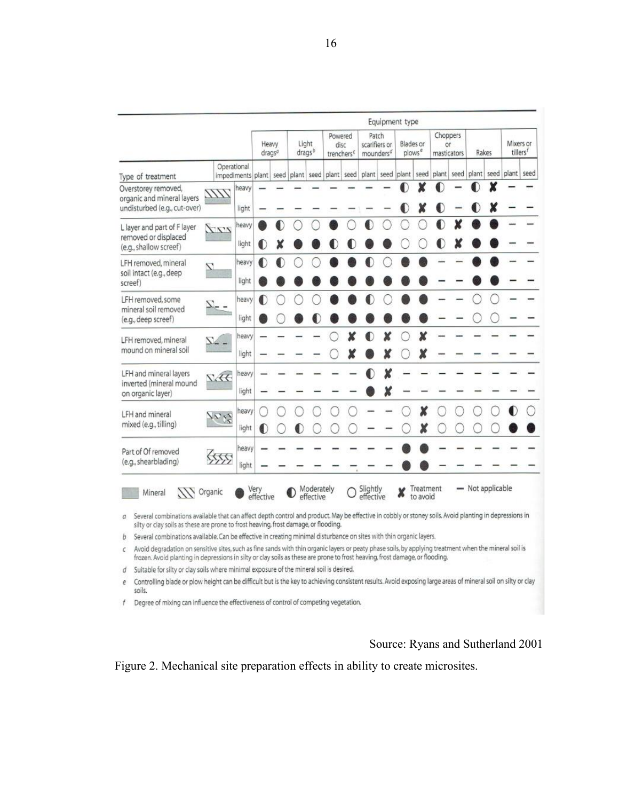|                                                                                                                                                                                                                                                                                                                                                                                                                                                                                                                                                                                                                                                                                                                                                                                                               |                              | Equipment type |                             |  |                             |                         |                                           |  |                                                 |  |                                 |                       |                               |      |                  |      |                                   |  |
|---------------------------------------------------------------------------------------------------------------------------------------------------------------------------------------------------------------------------------------------------------------------------------------------------------------------------------------------------------------------------------------------------------------------------------------------------------------------------------------------------------------------------------------------------------------------------------------------------------------------------------------------------------------------------------------------------------------------------------------------------------------------------------------------------------------|------------------------------|----------------|-----------------------------|--|-----------------------------|-------------------------|-------------------------------------------|--|-------------------------------------------------|--|---------------------------------|-----------------------|-------------------------------|------|------------------|------|-----------------------------------|--|
|                                                                                                                                                                                                                                                                                                                                                                                                                                                                                                                                                                                                                                                                                                                                                                                                               |                              |                | Heavy<br>drags <sup>a</sup> |  | Light<br>drags <sup>o</sup> |                         | Powered<br>disc<br>trenchers <sup>c</sup> |  | Patch<br>scarifiers or<br>mounders <sup>d</sup> |  | Blades or<br>plows <sup>e</sup> |                       | Choppers<br>Öľ<br>masticators |      | Rakes            |      | Mixers or<br>tillers <sup>f</sup> |  |
| Type of treatment                                                                                                                                                                                                                                                                                                                                                                                                                                                                                                                                                                                                                                                                                                                                                                                             |                              | Operational    | impediments plant           |  | seed plant                  | seed                    | plant seed                                |  |                                                 |  | plant seed plant                |                       | seed plant                    | seed | plant            | seed | plant seed                        |  |
| Overstorey removed,<br>organic and mineral layers<br>undisturbed (e.g., cut-over)                                                                                                                                                                                                                                                                                                                                                                                                                                                                                                                                                                                                                                                                                                                             | 1111.                        | heavy<br>light |                             |  |                             |                         |                                           |  |                                                 |  |                                 | ¥                     |                               |      |                  |      |                                   |  |
| L layer and part of F layer<br>removed or displaced<br>(e.g., shallow screef)                                                                                                                                                                                                                                                                                                                                                                                                                                                                                                                                                                                                                                                                                                                                 | ri                           | heavy<br>light |                             |  |                             |                         |                                           |  |                                                 |  |                                 |                       |                               |      |                  |      |                                   |  |
| LFH removed, mineral<br>soil intact (e.g., deep<br>screef)                                                                                                                                                                                                                                                                                                                                                                                                                                                                                                                                                                                                                                                                                                                                                    | 7.                           | heavy<br>light |                             |  |                             |                         |                                           |  |                                                 |  |                                 |                       |                               |      |                  |      |                                   |  |
| LFH removed, some<br>mineral soil removed<br>(e.g., deep screef)                                                                                                                                                                                                                                                                                                                                                                                                                                                                                                                                                                                                                                                                                                                                              |                              | heavy<br>light |                             |  |                             |                         |                                           |  |                                                 |  |                                 |                       |                               |      |                  |      |                                   |  |
| LFH removed, mineral<br>mound on mineral soil                                                                                                                                                                                                                                                                                                                                                                                                                                                                                                                                                                                                                                                                                                                                                                 |                              | heavy<br>light |                             |  |                             |                         |                                           |  |                                                 |  |                                 |                       |                               |      |                  |      |                                   |  |
| LFH and mineral layers<br>inverted (mineral mound<br>on organic layer)                                                                                                                                                                                                                                                                                                                                                                                                                                                                                                                                                                                                                                                                                                                                        | Nec                          | heavy<br>light |                             |  |                             |                         |                                           |  |                                                 |  |                                 |                       |                               |      |                  |      |                                   |  |
| LFH and mineral<br>mixed (e.g., tilling)                                                                                                                                                                                                                                                                                                                                                                                                                                                                                                                                                                                                                                                                                                                                                                      | 7612                         | heavy<br>light |                             |  |                             |                         |                                           |  |                                                 |  |                                 |                       |                               |      |                  |      |                                   |  |
| Part of Of removed<br>(e.g., shearblading)                                                                                                                                                                                                                                                                                                                                                                                                                                                                                                                                                                                                                                                                                                                                                                    | $\left\langle \right\rangle$ | heavy<br>light |                             |  |                             |                         |                                           |  |                                                 |  |                                 |                       |                               |      |                  |      |                                   |  |
| <b>AN</b> Organic<br>Mineral<br>Several combinations available that can affect depth control and product. May be effective in cobbly or stoney soils. Avoid planting in depressions in<br>a<br>silty or clay soils as these are prone to frost heaving, frost damage, or flooding.<br>Several combinations available. Can be effective in creating minimal disturbance on sites with thin organic layers.<br>b<br>Avoid degradation on sensitive sites, such as fine sands with thin organic layers or peaty phase soils, by applying treatment when the mineral soil is<br>с<br>frozen. Avoid planting in depressions in silty or clay soils as these are prone to frost heaving, frost damage, or flooding.<br>Suitable for silty or clay soils where minimal exposure of the mineral soil is desired.<br>đ |                              |                | Very<br>effective           |  |                             | Moderately<br>effective |                                           |  | Slightly<br>effective                           |  |                                 | Treatment<br>to avoid |                               |      | - Not applicable |      |                                   |  |

e Controlling blade or plow height can be difficult but is the key to achieving consistent results. Avoid exposing large areas of mineral soil on silty or clay soils.

 $f$  Degree of mixing can influence the effectiveness of control of competing vegetation.

# Source: Ryans and Sutherland 2001

<span id="page-23-0"></span>Figure 2. Mechanical site preparation effects in ability to create microsites.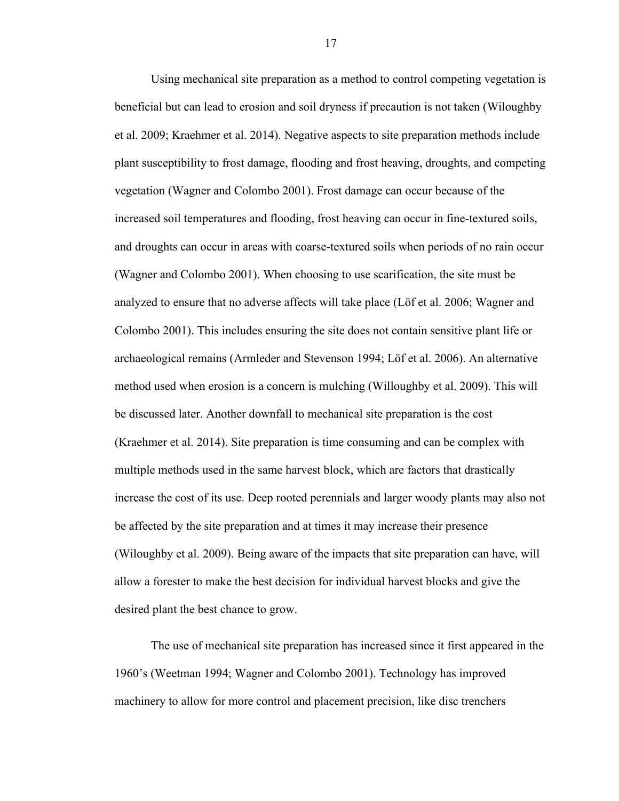Using mechanical site preparation as a method to control competing vegetation is beneficial but can lead to erosion and soil dryness if precaution is not taken (Wiloughby et al. 2009; Kraehmer et al. 2014). Negative aspects to site preparation methods include plant susceptibility to frost damage, flooding and frost heaving, droughts, and competing vegetation (Wagner and Colombo 2001). Frost damage can occur because of the increased soil temperatures and flooding, frost heaving can occur in fine-textured soils, and droughts can occur in areas with coarse-textured soils when periods of no rain occur (Wagner and Colombo 2001). When choosing to use scarification, the site must be analyzed to ensure that no adverse affects will take place (Löf et al. 2006; Wagner and Colombo 2001). This includes ensuring the site does not contain sensitive plant life or archaeological remains (Armleder and Stevenson 1994; Löf et al. 2006). An alternative method used when erosion is a concern is mulching (Willoughby et al. 2009). This will be discussed later. Another downfall to mechanical site preparation is the cost (Kraehmer et al. 2014). Site preparation is time consuming and can be complex with multiple methods used in the same harvest block, which are factors that drastically increase the cost of its use. Deep rooted perennials and larger woody plants may also not be affected by the site preparation and at times it may increase their presence (Wiloughby et al. 2009). Being aware of the impacts that site preparation can have, will allow a forester to make the best decision for individual harvest blocks and give the desired plant the best chance to grow.

The use of mechanical site preparation has increased since it first appeared in the 1960's (Weetman 1994; Wagner and Colombo 2001). Technology has improved machinery to allow for more control and placement precision, like disc trenchers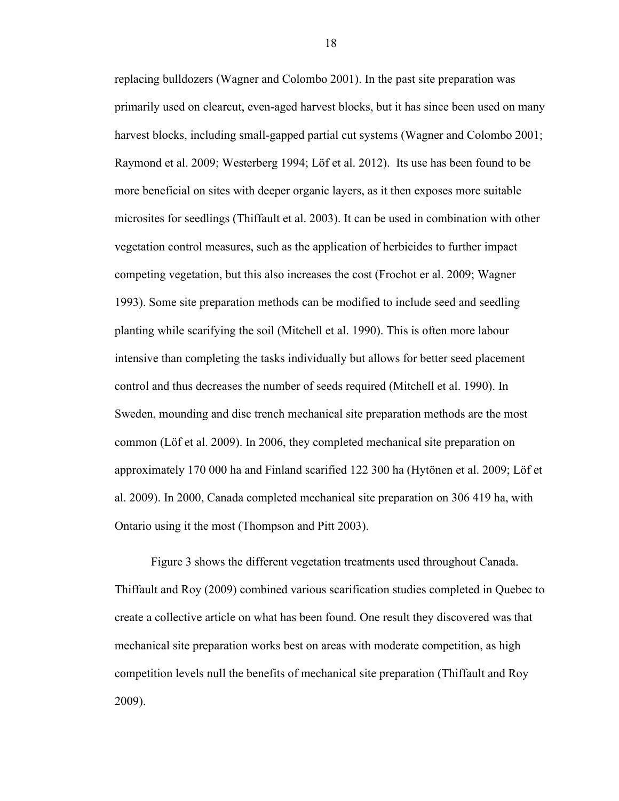replacing bulldozers (Wagner and Colombo 2001). In the past site preparation was primarily used on clearcut, even-aged harvest blocks, but it has since been used on many harvest blocks, including small-gapped partial cut systems (Wagner and Colombo 2001; Raymond et al. 2009; Westerberg 1994; Löf et al. 2012). Its use has been found to be more beneficial on sites with deeper organic layers, as it then exposes more suitable microsites for seedlings (Thiffault et al. 2003). It can be used in combination with other vegetation control measures, such as the application of herbicides to further impact competing vegetation, but this also increases the cost (Frochot er al. 2009; Wagner 1993). Some site preparation methods can be modified to include seed and seedling planting while scarifying the soil (Mitchell et al. 1990). This is often more labour intensive than completing the tasks individually but allows for better seed placement control and thus decreases the number of seeds required (Mitchell et al. 1990). In Sweden, mounding and disc trench mechanical site preparation methods are the most common (Löf et al. 2009). In 2006, they completed mechanical site preparation on approximately 170 000 ha and Finland scarified 122 300 ha (Hytönen et al. 2009; Löf et al. 2009). In 2000, Canada completed mechanical site preparation on 306 419 ha, with Ontario using it the most (Thompson and Pitt 2003).

Figure 3 shows the different vegetation treatments used throughout Canada. Thiffault and Roy (2009) combined various scarification studies completed in Quebec to create a collective article on what has been found. One result they discovered was that mechanical site preparation works best on areas with moderate competition, as high competition levels null the benefits of mechanical site preparation (Thiffault and Roy 2009).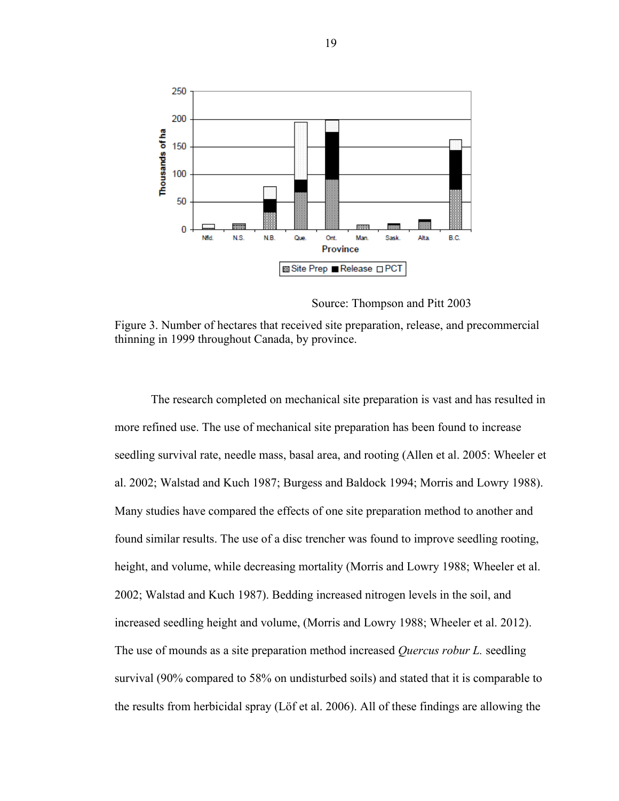

Source: Thompson and Pitt 2003

<span id="page-26-0"></span>Figure 3. Number of hectares that received site preparation, release, and precommercial thinning in 1999 throughout Canada, by province.

The research completed on mechanical site preparation is vast and has resulted in more refined use. The use of mechanical site preparation has been found to increase seedling survival rate, needle mass, basal area, and rooting (Allen et al. 2005: Wheeler et al. 2002; Walstad and Kuch 1987; Burgess and Baldock 1994; Morris and Lowry 1988). Many studies have compared the effects of one site preparation method to another and found similar results. The use of a disc trencher was found to improve seedling rooting, height, and volume, while decreasing mortality (Morris and Lowry 1988; Wheeler et al. 2002; Walstad and Kuch 1987). Bedding increased nitrogen levels in the soil, and increased seedling height and volume, (Morris and Lowry 1988; Wheeler et al. 2012). The use of mounds as a site preparation method increased *Quercus robur L.* seedling survival (90% compared to 58% on undisturbed soils) and stated that it is comparable to the results from herbicidal spray (Löf et al. 2006). All of these findings are allowing the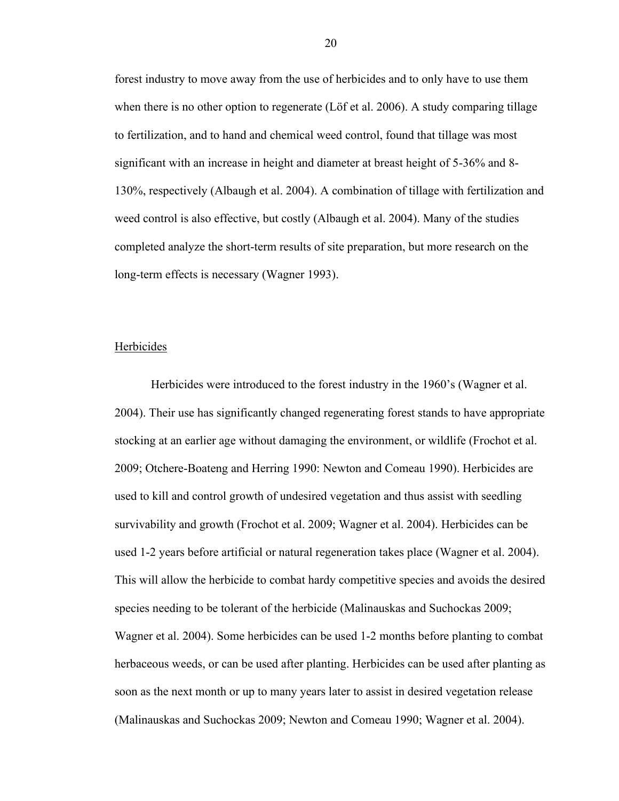forest industry to move away from the use of herbicides and to only have to use them when there is no other option to regenerate (Löf et al. 2006). A study comparing tillage to fertilization, and to hand and chemical weed control, found that tillage was most significant with an increase in height and diameter at breast height of 5-36% and 8- 130%, respectively (Albaugh et al. 2004). A combination of tillage with fertilization and weed control is also effective, but costly (Albaugh et al. 2004). Many of the studies completed analyze the short-term results of site preparation, but more research on the long-term effects is necessary (Wagner 1993).

#### <span id="page-27-0"></span>Herbicides

Herbicides were introduced to the forest industry in the 1960's (Wagner et al. 2004). Their use has significantly changed regenerating forest stands to have appropriate stocking at an earlier age without damaging the environment, or wildlife (Frochot et al. 2009; Otchere-Boateng and Herring 1990: Newton and Comeau 1990). Herbicides are used to kill and control growth of undesired vegetation and thus assist with seedling survivability and growth (Frochot et al. 2009; Wagner et al. 2004). Herbicides can be used 1-2 years before artificial or natural regeneration takes place (Wagner et al. 2004). This will allow the herbicide to combat hardy competitive species and avoids the desired species needing to be tolerant of the herbicide (Malinauskas and Suchockas 2009; Wagner et al. 2004). Some herbicides can be used 1-2 months before planting to combat herbaceous weeds, or can be used after planting. Herbicides can be used after planting as soon as the next month or up to many years later to assist in desired vegetation release (Malinauskas and Suchockas 2009; Newton and Comeau 1990; Wagner et al. 2004).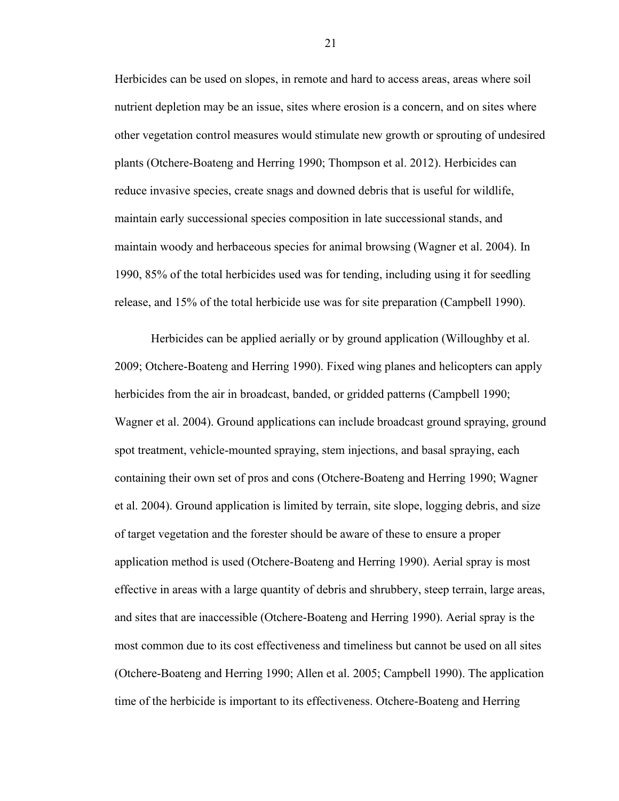Herbicides can be used on slopes, in remote and hard to access areas, areas where soil nutrient depletion may be an issue, sites where erosion is a concern, and on sites where other vegetation control measures would stimulate new growth or sprouting of undesired plants (Otchere-Boateng and Herring 1990; Thompson et al. 2012). Herbicides can reduce invasive species, create snags and downed debris that is useful for wildlife, maintain early successional species composition in late successional stands, and maintain woody and herbaceous species for animal browsing (Wagner et al. 2004). In 1990, 85% of the total herbicides used was for tending, including using it for seedling release, and 15% of the total herbicide use was for site preparation (Campbell 1990).

Herbicides can be applied aerially or by ground application (Willoughby et al. 2009; Otchere-Boateng and Herring 1990). Fixed wing planes and helicopters can apply herbicides from the air in broadcast, banded, or gridded patterns (Campbell 1990; Wagner et al. 2004). Ground applications can include broadcast ground spraying, ground spot treatment, vehicle-mounted spraying, stem injections, and basal spraying, each containing their own set of pros and cons (Otchere-Boateng and Herring 1990; Wagner et al. 2004). Ground application is limited by terrain, site slope, logging debris, and size of target vegetation and the forester should be aware of these to ensure a proper application method is used (Otchere-Boateng and Herring 1990). Aerial spray is most effective in areas with a large quantity of debris and shrubbery, steep terrain, large areas, and sites that are inaccessible (Otchere-Boateng and Herring 1990). Aerial spray is the most common due to its cost effectiveness and timeliness but cannot be used on all sites (Otchere-Boateng and Herring 1990; Allen et al. 2005; Campbell 1990). The application time of the herbicide is important to its effectiveness. Otchere-Boateng and Herring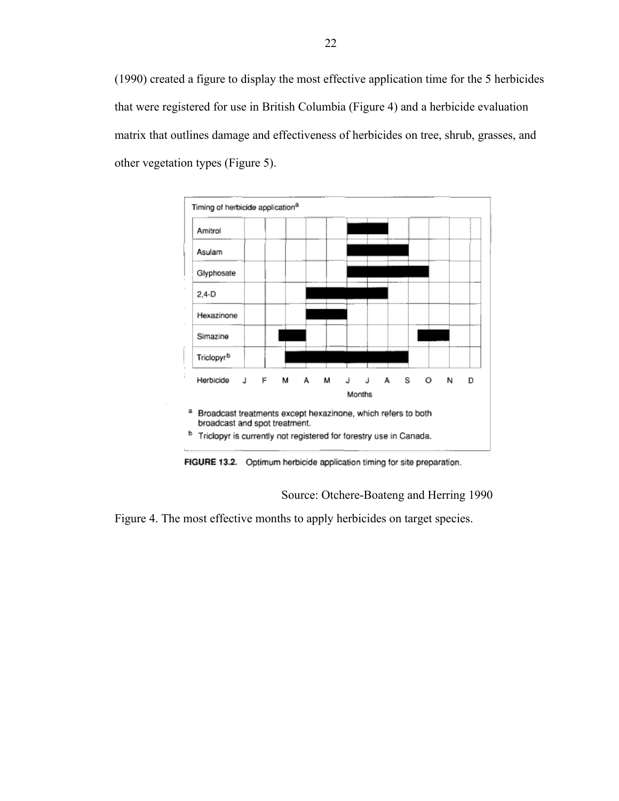(1990) created a figure to display the most effective application time for the 5 herbicides that were registered for use in British Columbia (Figure 4) and a herbicide evaluation matrix that outlines damage and effectiveness of herbicides on tree, shrub, grasses, and other vegetation types (Figure 5).



FIGURE 13.2. Optimum herbicide application timing for site preparation.

## Source: Otchere-Boateng and Herring 1990

<span id="page-29-0"></span>Figure 4. The most effective months to apply herbicides on target species.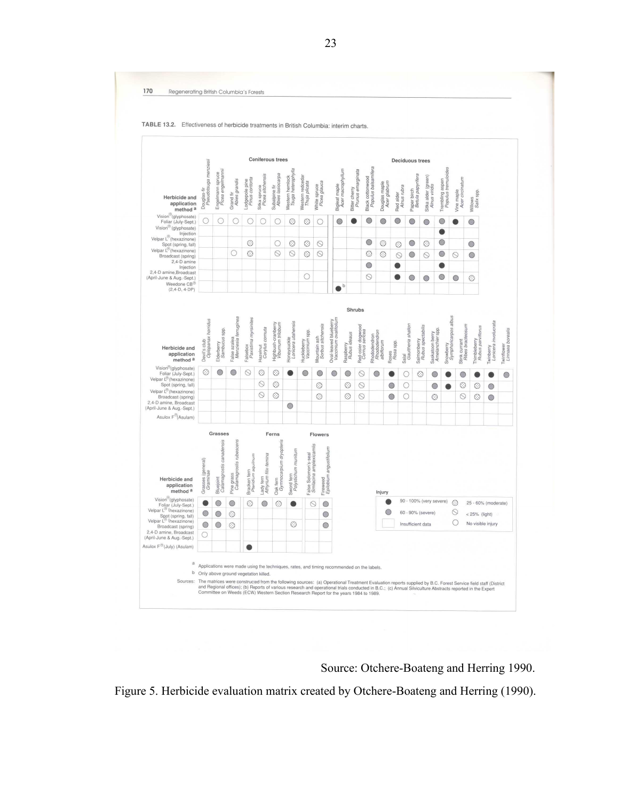

Source: Otchere-Boateng and Herring 1990.

<span id="page-30-0"></span>Figure 5. Herbicide evaluation matrix created by Otchere-Boateng and Herring (1990).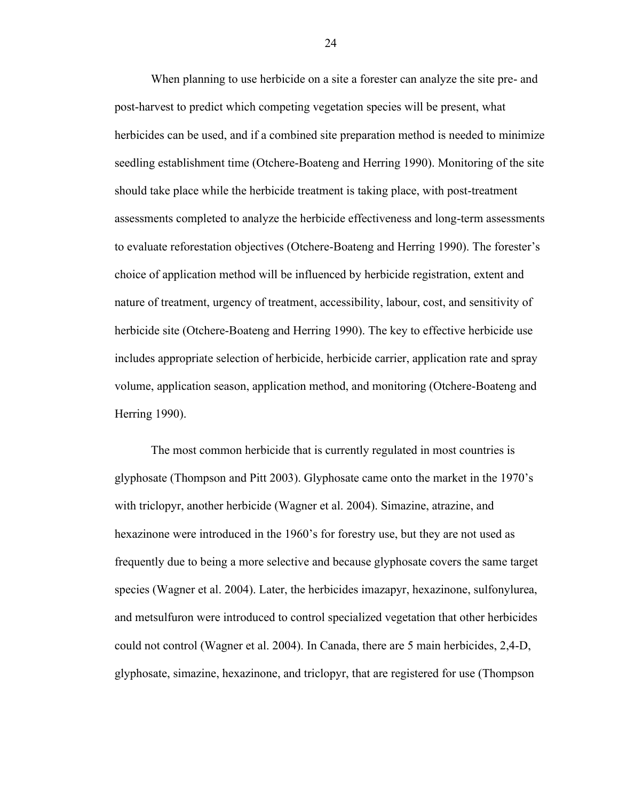When planning to use herbicide on a site a forester can analyze the site pre- and post-harvest to predict which competing vegetation species will be present, what herbicides can be used, and if a combined site preparation method is needed to minimize seedling establishment time (Otchere-Boateng and Herring 1990). Monitoring of the site should take place while the herbicide treatment is taking place, with post-treatment assessments completed to analyze the herbicide effectiveness and long-term assessments to evaluate reforestation objectives (Otchere-Boateng and Herring 1990). The forester's choice of application method will be influenced by herbicide registration, extent and nature of treatment, urgency of treatment, accessibility, labour, cost, and sensitivity of herbicide site (Otchere-Boateng and Herring 1990). The key to effective herbicide use includes appropriate selection of herbicide, herbicide carrier, application rate and spray volume, application season, application method, and monitoring (Otchere-Boateng and Herring 1990).

The most common herbicide that is currently regulated in most countries is glyphosate (Thompson and Pitt 2003). Glyphosate came onto the market in the 1970's with triclopyr, another herbicide (Wagner et al. 2004). Simazine, atrazine, and hexazinone were introduced in the 1960's for forestry use, but they are not used as frequently due to being a more selective and because glyphosate covers the same target species (Wagner et al. 2004). Later, the herbicides imazapyr, hexazinone, sulfonylurea, and metsulfuron were introduced to control specialized vegetation that other herbicides could not control (Wagner et al. 2004). In Canada, there are 5 main herbicides, 2,4-D, glyphosate, simazine, hexazinone, and triclopyr, that are registered for use (Thompson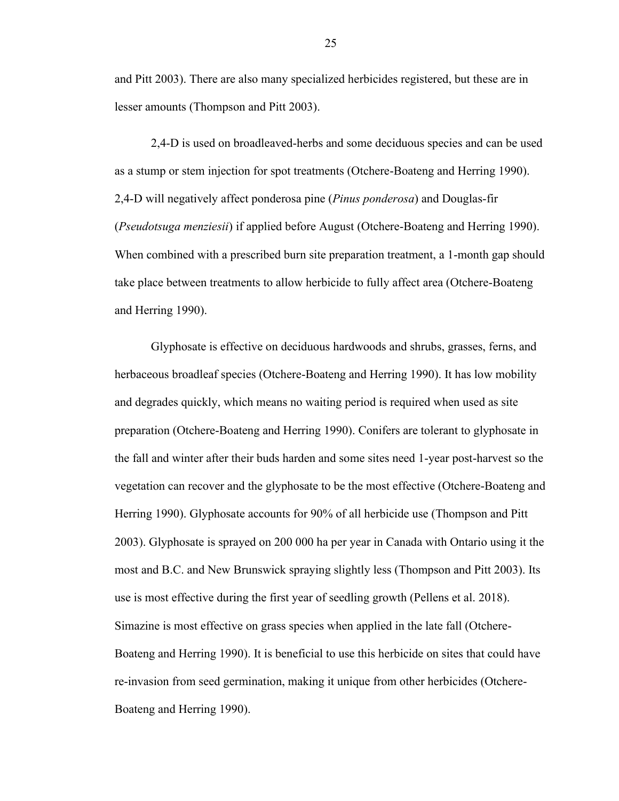and Pitt 2003). There are also many specialized herbicides registered, but these are in lesser amounts (Thompson and Pitt 2003).

2,4-D is used on broadleaved-herbs and some deciduous species and can be used as a stump or stem injection for spot treatments (Otchere-Boateng and Herring 1990). 2,4-D will negatively affect ponderosa pine (*Pinus ponderosa*) and Douglas-fir (*Pseudotsuga menziesii*) if applied before August (Otchere-Boateng and Herring 1990). When combined with a prescribed burn site preparation treatment, a 1-month gap should take place between treatments to allow herbicide to fully affect area (Otchere-Boateng and Herring 1990).

Glyphosate is effective on deciduous hardwoods and shrubs, grasses, ferns, and herbaceous broadleaf species (Otchere-Boateng and Herring 1990). It has low mobility and degrades quickly, which means no waiting period is required when used as site preparation (Otchere-Boateng and Herring 1990). Conifers are tolerant to glyphosate in the fall and winter after their buds harden and some sites need 1-year post-harvest so the vegetation can recover and the glyphosate to be the most effective (Otchere-Boateng and Herring 1990). Glyphosate accounts for 90% of all herbicide use (Thompson and Pitt 2003). Glyphosate is sprayed on 200 000 ha per year in Canada with Ontario using it the most and B.C. and New Brunswick spraying slightly less (Thompson and Pitt 2003). Its use is most effective during the first year of seedling growth (Pellens et al. 2018). Simazine is most effective on grass species when applied in the late fall (Otchere-Boateng and Herring 1990). It is beneficial to use this herbicide on sites that could have re-invasion from seed germination, making it unique from other herbicides (Otchere-Boateng and Herring 1990).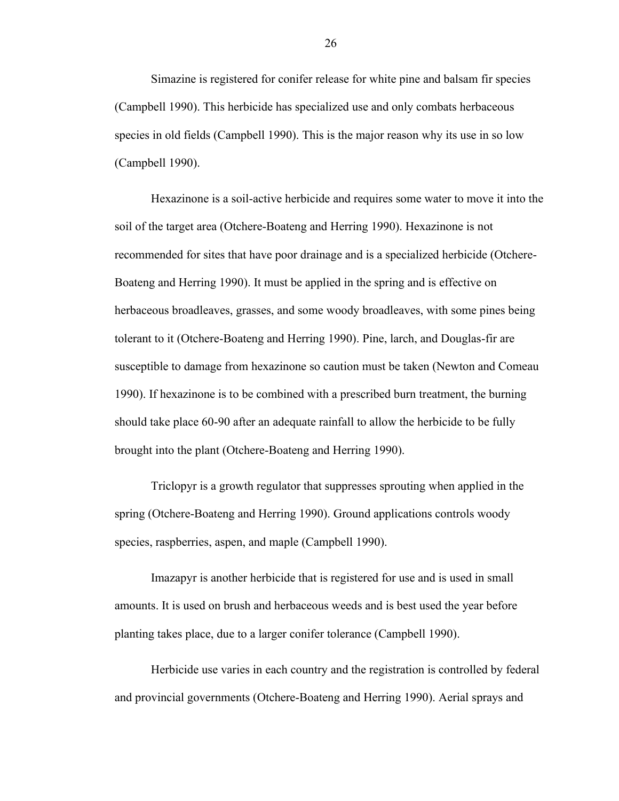Simazine is registered for conifer release for white pine and balsam fir species (Campbell 1990). This herbicide has specialized use and only combats herbaceous species in old fields (Campbell 1990). This is the major reason why its use in so low (Campbell 1990).

Hexazinone is a soil-active herbicide and requires some water to move it into the soil of the target area (Otchere-Boateng and Herring 1990). Hexazinone is not recommended for sites that have poor drainage and is a specialized herbicide (Otchere-Boateng and Herring 1990). It must be applied in the spring and is effective on herbaceous broadleaves, grasses, and some woody broadleaves, with some pines being tolerant to it (Otchere-Boateng and Herring 1990). Pine, larch, and Douglas-fir are susceptible to damage from hexazinone so caution must be taken (Newton and Comeau 1990). If hexazinone is to be combined with a prescribed burn treatment, the burning should take place 60-90 after an adequate rainfall to allow the herbicide to be fully brought into the plant (Otchere-Boateng and Herring 1990).

Triclopyr is a growth regulator that suppresses sprouting when applied in the spring (Otchere-Boateng and Herring 1990). Ground applications controls woody species, raspberries, aspen, and maple (Campbell 1990).

Imazapyr is another herbicide that is registered for use and is used in small amounts. It is used on brush and herbaceous weeds and is best used the year before planting takes place, due to a larger conifer tolerance (Campbell 1990).

Herbicide use varies in each country and the registration is controlled by federal and provincial governments (Otchere-Boateng and Herring 1990). Aerial sprays and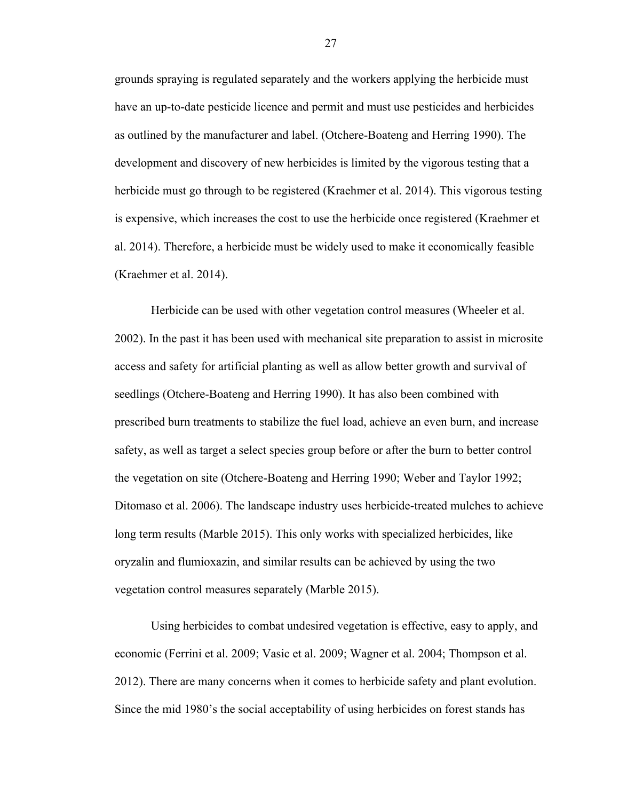grounds spraying is regulated separately and the workers applying the herbicide must have an up-to-date pesticide licence and permit and must use pesticides and herbicides as outlined by the manufacturer and label. (Otchere-Boateng and Herring 1990). The development and discovery of new herbicides is limited by the vigorous testing that a herbicide must go through to be registered (Kraehmer et al. 2014). This vigorous testing is expensive, which increases the cost to use the herbicide once registered (Kraehmer et al. 2014). Therefore, a herbicide must be widely used to make it economically feasible (Kraehmer et al. 2014).

Herbicide can be used with other vegetation control measures (Wheeler et al. 2002). In the past it has been used with mechanical site preparation to assist in microsite access and safety for artificial planting as well as allow better growth and survival of seedlings (Otchere-Boateng and Herring 1990). It has also been combined with prescribed burn treatments to stabilize the fuel load, achieve an even burn, and increase safety, as well as target a select species group before or after the burn to better control the vegetation on site (Otchere-Boateng and Herring 1990; Weber and Taylor 1992; Ditomaso et al. 2006). The landscape industry uses herbicide-treated mulches to achieve long term results (Marble 2015). This only works with specialized herbicides, like oryzalin and flumioxazin, and similar results can be achieved by using the two vegetation control measures separately (Marble 2015).

Using herbicides to combat undesired vegetation is effective, easy to apply, and economic (Ferrini et al. 2009; Vasic et al. 2009; Wagner et al. 2004; Thompson et al. 2012). There are many concerns when it comes to herbicide safety and plant evolution. Since the mid 1980's the social acceptability of using herbicides on forest stands has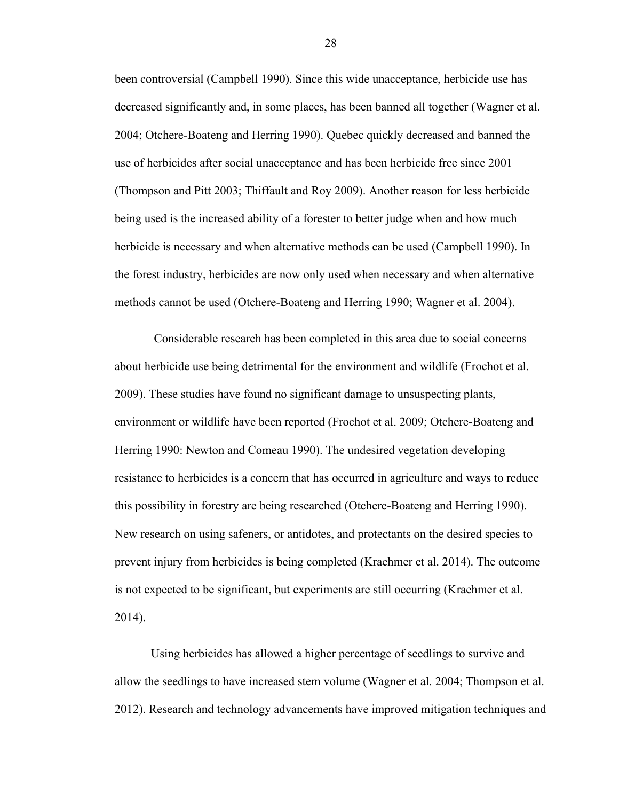been controversial (Campbell 1990). Since this wide unacceptance, herbicide use has decreased significantly and, in some places, has been banned all together (Wagner et al. 2004; Otchere-Boateng and Herring 1990). Quebec quickly decreased and banned the use of herbicides after social unacceptance and has been herbicide free since 2001 (Thompson and Pitt 2003; Thiffault and Roy 2009). Another reason for less herbicide being used is the increased ability of a forester to better judge when and how much herbicide is necessary and when alternative methods can be used (Campbell 1990). In the forest industry, herbicides are now only used when necessary and when alternative methods cannot be used (Otchere-Boateng and Herring 1990; Wagner et al. 2004).

Considerable research has been completed in this area due to social concerns about herbicide use being detrimental for the environment and wildlife (Frochot et al. 2009). These studies have found no significant damage to unsuspecting plants, environment or wildlife have been reported (Frochot et al. 2009; Otchere-Boateng and Herring 1990: Newton and Comeau 1990). The undesired vegetation developing resistance to herbicides is a concern that has occurred in agriculture and ways to reduce this possibility in forestry are being researched (Otchere-Boateng and Herring 1990). New research on using safeners, or antidotes, and protectants on the desired species to prevent injury from herbicides is being completed (Kraehmer et al. 2014). The outcome is not expected to be significant, but experiments are still occurring (Kraehmer et al. 2014).

Using herbicides has allowed a higher percentage of seedlings to survive and allow the seedlings to have increased stem volume (Wagner et al. 2004; Thompson et al. 2012). Research and technology advancements have improved mitigation techniques and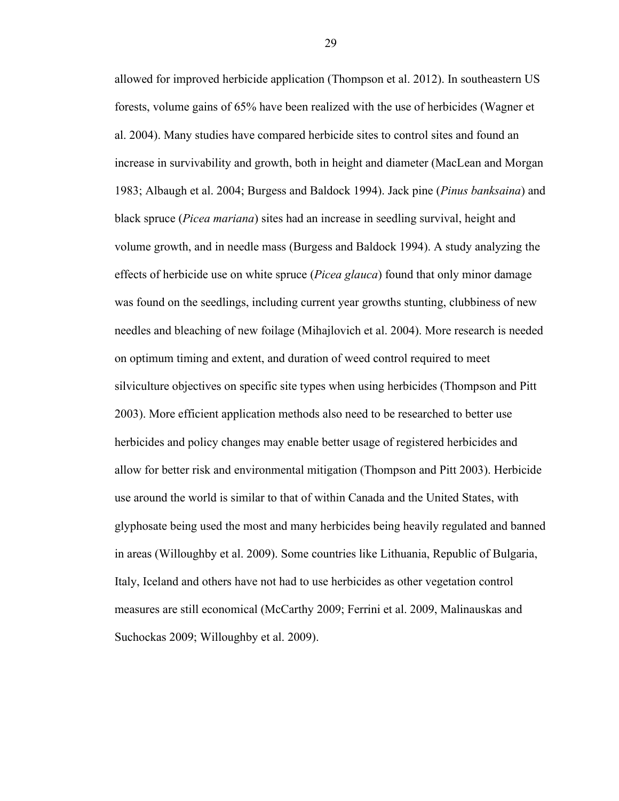allowed for improved herbicide application (Thompson et al. 2012). In southeastern US forests, volume gains of 65% have been realized with the use of herbicides (Wagner et al. 2004). Many studies have compared herbicide sites to control sites and found an increase in survivability and growth, both in height and diameter (MacLean and Morgan 1983; Albaugh et al. 2004; Burgess and Baldock 1994). Jack pine (*Pinus banksaina*) and black spruce (*Picea mariana*) sites had an increase in seedling survival, height and volume growth, and in needle mass (Burgess and Baldock 1994). A study analyzing the effects of herbicide use on white spruce (*Picea glauca*) found that only minor damage was found on the seedlings, including current year growths stunting, clubbiness of new needles and bleaching of new foilage (Mihajlovich et al. 2004). More research is needed on optimum timing and extent, and duration of weed control required to meet silviculture objectives on specific site types when using herbicides (Thompson and Pitt 2003). More efficient application methods also need to be researched to better use herbicides and policy changes may enable better usage of registered herbicides and allow for better risk and environmental mitigation (Thompson and Pitt 2003). Herbicide use around the world is similar to that of within Canada and the United States, with glyphosate being used the most and many herbicides being heavily regulated and banned in areas (Willoughby et al. 2009). Some countries like Lithuania, Republic of Bulgaria, Italy, Iceland and others have not had to use herbicides as other vegetation control measures are still economical (McCarthy 2009; Ferrini et al. 2009, Malinauskas and Suchockas 2009; Willoughby et al. 2009).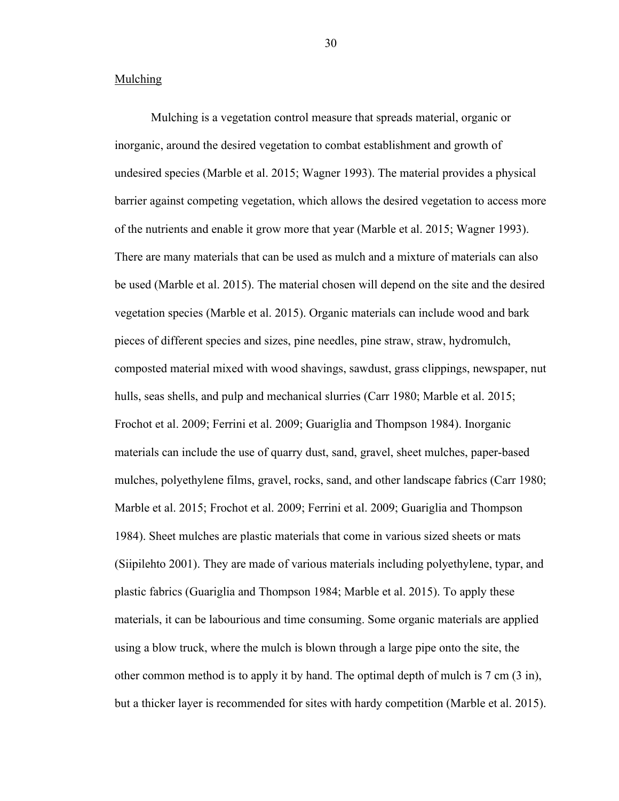#### <span id="page-37-0"></span>Mulching

Mulching is a vegetation control measure that spreads material, organic or inorganic, around the desired vegetation to combat establishment and growth of undesired species (Marble et al. 2015; Wagner 1993). The material provides a physical barrier against competing vegetation, which allows the desired vegetation to access more of the nutrients and enable it grow more that year (Marble et al. 2015; Wagner 1993). There are many materials that can be used as mulch and a mixture of materials can also be used (Marble et al. 2015). The material chosen will depend on the site and the desired vegetation species (Marble et al. 2015). Organic materials can include wood and bark pieces of different species and sizes, pine needles, pine straw, straw, hydromulch, composted material mixed with wood shavings, sawdust, grass clippings, newspaper, nut hulls, seas shells, and pulp and mechanical slurries (Carr 1980; Marble et al. 2015; Frochot et al. 2009; Ferrini et al. 2009; Guariglia and Thompson 1984). Inorganic materials can include the use of quarry dust, sand, gravel, sheet mulches, paper-based mulches, polyethylene films, gravel, rocks, sand, and other landscape fabrics (Carr 1980; Marble et al. 2015; Frochot et al. 2009; Ferrini et al. 2009; Guariglia and Thompson 1984). Sheet mulches are plastic materials that come in various sized sheets or mats (Siipilehto 2001). They are made of various materials including polyethylene, typar, and plastic fabrics (Guariglia and Thompson 1984; Marble et al. 2015). To apply these materials, it can be labourious and time consuming. Some organic materials are applied using a blow truck, where the mulch is blown through a large pipe onto the site, the other common method is to apply it by hand. The optimal depth of mulch is 7 cm (3 in), but a thicker layer is recommended for sites with hardy competition (Marble et al. 2015).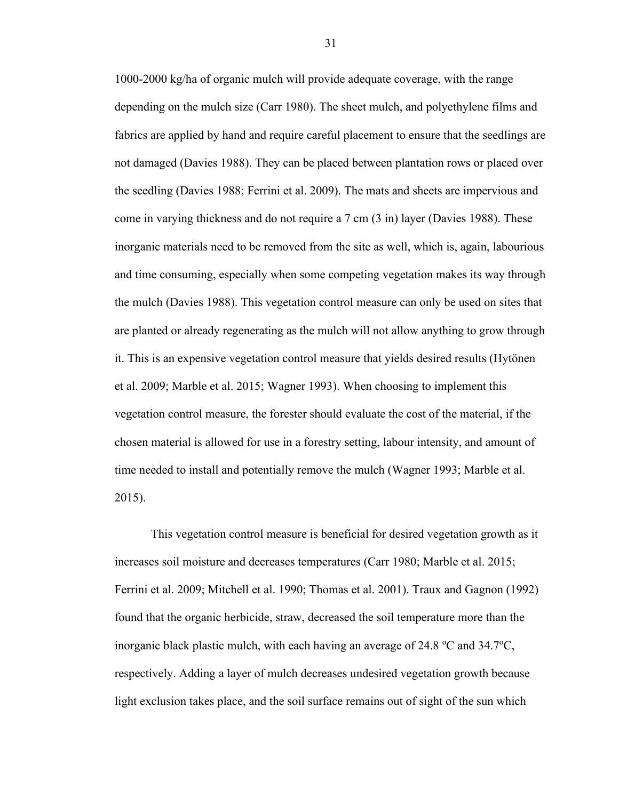1000-2000 kg/ha of organic mulch will provide adequate coverage, with the range depending on the mulch size (Carr 1980). The sheet mulch, and polyethylene films and fabrics are applied by hand and require careful placement to ensure that the seedlings are not damaged (Davies 1988). They can be placed between plantation rows or placed over the seedling (Davies 1988; Ferrini et al. 2009). The mats and sheets are impervious and come in varying thickness and do not require a 7 cm (3 in) layer (Davies 1988). These inorganic materials need to be removed from the site as well, which is, again, labourious and time consuming, especially when some competing vegetation makes its way through the mulch (Davies 1988). This vegetation control measure can only be used on sites that are planted or already regenerating as the mulch will not allow anything to grow through it. This is an expensive vegetation control measure that yields desired results (Hytönen et al. 2009; Marble et al. 2015; Wagner 1993). When choosing to implement this vegetation control measure, the forester should evaluate the cost of the material, if the chosen material is allowed for use in a forestry setting, labour intensity, and amount of time needed to install and potentially remove the mulch (Wagner 1993; Marble et al. 2015).

This vegetation control measure is beneficial for desired vegetation growth as it increases soil moisture and decreases temperatures (Carr 1980; Marble et al. 2015; Ferrini et al. 2009; Mitchell et al. 1990; Thomas et al. 2001). Traux and Gagnon (1992) found that the organic herbicide, straw, decreased the soil temperature more than the inorganic black plastic mulch, with each having an average of 24.8  $\rm{°C}$  and 34.7 $\rm{°C}$ , respectively. Adding a layer of mulch decreases undesired vegetation growth because light exclusion takes place, and the soil surface remains out of sight of the sun which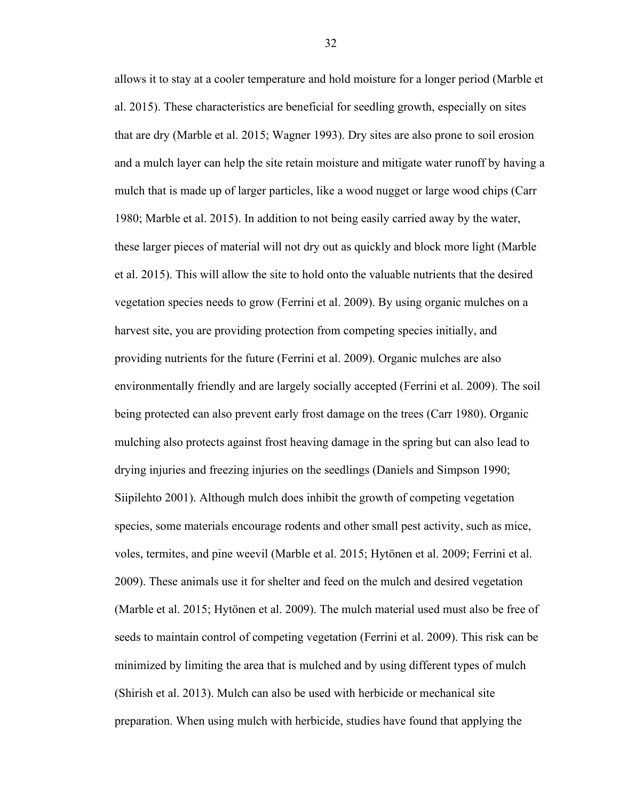allows it to stay at a cooler temperature and hold moisture for a longer period (Marble et al. 2015). These characteristics are beneficial for seedling growth, especially on sites that are dry (Marble et al. 2015; Wagner 1993). Dry sites are also prone to soil erosion and a mulch layer can help the site retain moisture and mitigate water runoff by having a mulch that is made up of larger particles, like a wood nugget or large wood chips (Carr 1980; Marble et al. 2015). In addition to not being easily carried away by the water, these larger pieces of material will not dry out as quickly and block more light (Marble et al. 2015). This will allow the site to hold onto the valuable nutrients that the desired vegetation species needs to grow (Ferrini et al. 2009). By using organic mulches on a harvest site, you are providing protection from competing species initially, and providing nutrients for the future (Ferrini et al. 2009). Organic mulches are also environmentally friendly and are largely socially accepted (Ferrini et al. 2009). The soil being protected can also prevent early frost damage on the trees (Carr 1980). Organic mulching also protects against frost heaving damage in the spring but can also lead to drying injuries and freezing injuries on the seedlings (Daniels and Simpson 1990; Siipilehto 2001). Although mulch does inhibit the growth of competing vegetation species, some materials encourage rodents and other small pest activity, such as mice, voles, termites, and pine weevil (Marble et al. 2015; Hytönen et al. 2009; Ferrini et al. 2009). These animals use it for shelter and feed on the mulch and desired vegetation (Marble et al. 2015; Hytönen et al. 2009). The mulch material used must also be free of seeds to maintain control of competing vegetation (Ferrini et al. 2009). This risk can be minimized by limiting the area that is mulched and by using different types of mulch (Shirish et al. 2013). Mulch can also be used with herbicide or mechanical site preparation. When using mulch with herbicide, studies have found that applying the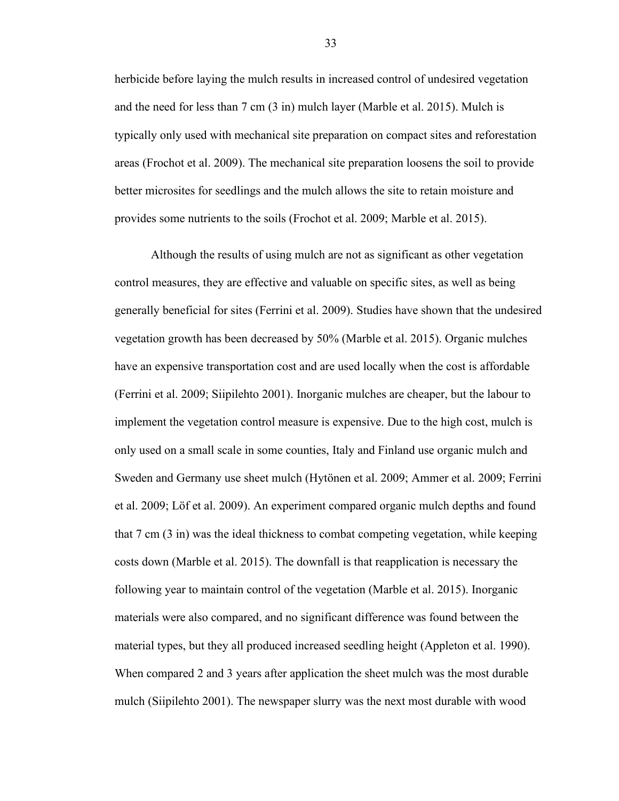herbicide before laying the mulch results in increased control of undesired vegetation and the need for less than 7 cm (3 in) mulch layer (Marble et al. 2015). Mulch is typically only used with mechanical site preparation on compact sites and reforestation areas (Frochot et al. 2009). The mechanical site preparation loosens the soil to provide better microsites for seedlings and the mulch allows the site to retain moisture and provides some nutrients to the soils (Frochot et al. 2009; Marble et al. 2015).

Although the results of using mulch are not as significant as other vegetation control measures, they are effective and valuable on specific sites, as well as being generally beneficial for sites (Ferrini et al. 2009). Studies have shown that the undesired vegetation growth has been decreased by 50% (Marble et al. 2015). Organic mulches have an expensive transportation cost and are used locally when the cost is affordable (Ferrini et al. 2009; Siipilehto 2001). Inorganic mulches are cheaper, but the labour to implement the vegetation control measure is expensive. Due to the high cost, mulch is only used on a small scale in some counties, Italy and Finland use organic mulch and Sweden and Germany use sheet mulch (Hytönen et al. 2009; Ammer et al. 2009; Ferrini et al. 2009; Löf et al. 2009). An experiment compared organic mulch depths and found that 7 cm (3 in) was the ideal thickness to combat competing vegetation, while keeping costs down (Marble et al. 2015). The downfall is that reapplication is necessary the following year to maintain control of the vegetation (Marble et al. 2015). Inorganic materials were also compared, and no significant difference was found between the material types, but they all produced increased seedling height (Appleton et al. 1990). When compared 2 and 3 years after application the sheet mulch was the most durable mulch (Siipilehto 2001). The newspaper slurry was the next most durable with wood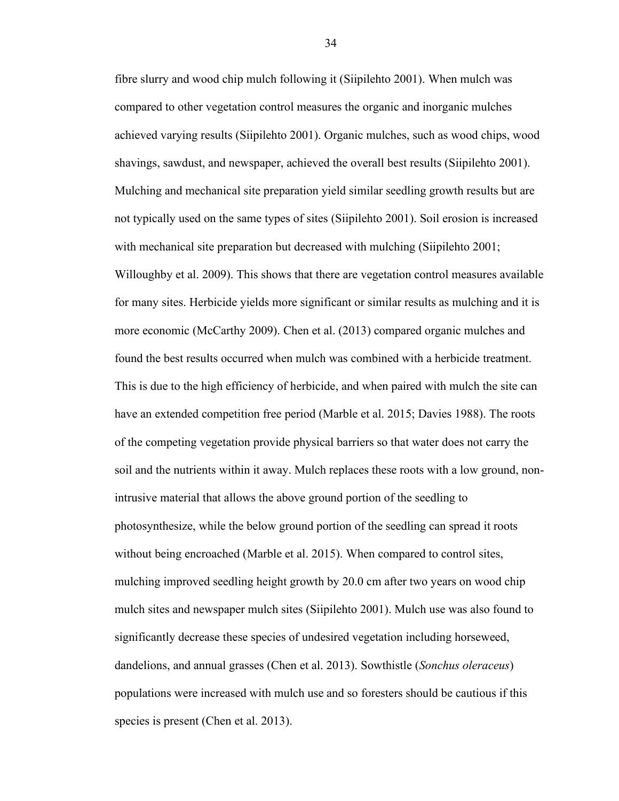fibre slurry and wood chip mulch following it (Siipilehto 2001). When mulch was compared to other vegetation control measures the organic and inorganic mulches achieved varying results (Siipilehto 2001). Organic mulches, such as wood chips, wood shavings, sawdust, and newspaper, achieved the overall best results (Siipilehto 2001). Mulching and mechanical site preparation yield similar seedling growth results but are not typically used on the same types of sites (Siipilehto 2001). Soil erosion is increased with mechanical site preparation but decreased with mulching (Siipilehto 2001; Willoughby et al. 2009). This shows that there are vegetation control measures available for many sites. Herbicide yields more significant or similar results as mulching and it is more economic (McCarthy 2009). Chen et al. (2013) compared organic mulches and found the best results occurred when mulch was combined with a herbicide treatment. This is due to the high efficiency of herbicide, and when paired with mulch the site can have an extended competition free period (Marble et al. 2015; Davies 1988). The roots of the competing vegetation provide physical barriers so that water does not carry the soil and the nutrients within it away. Mulch replaces these roots with a low ground, nonintrusive material that allows the above ground portion of the seedling to photosynthesize, while the below ground portion of the seedling can spread it roots without being encroached (Marble et al. 2015). When compared to control sites, mulching improved seedling height growth by 20.0 cm after two years on wood chip mulch sites and newspaper mulch sites (Siipilehto 2001). Mulch use was also found to significantly decrease these species of undesired vegetation including horseweed, dandelions, and annual grasses (Chen et al. 2013). Sowthistle (*Sonchus oleraceus*) populations were increased with mulch use and so foresters should be cautious if this species is present (Chen et al. 2013).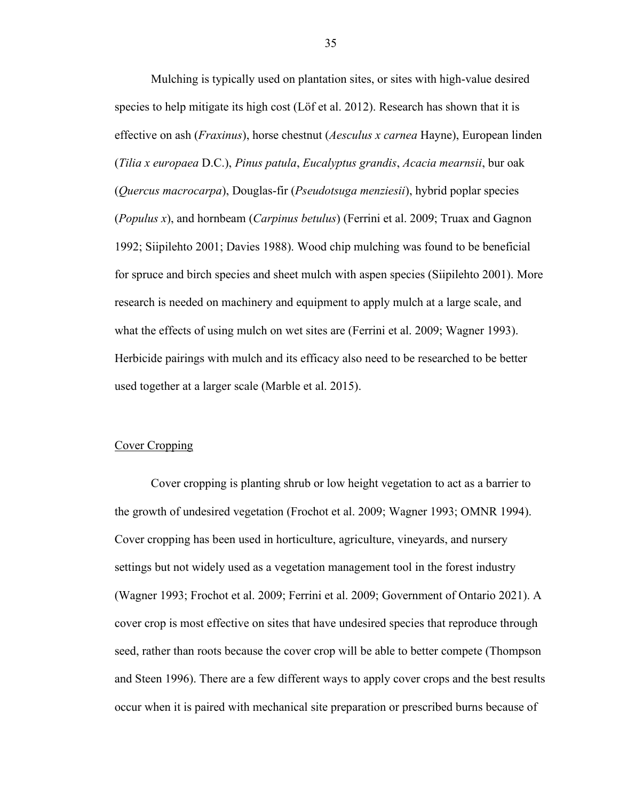Mulching is typically used on plantation sites, or sites with high-value desired species to help mitigate its high cost (Löf et al. 2012). Research has shown that it is effective on ash (*Fraxinus*), horse chestnut (*Aesculus x carnea* Hayne), European linden (*Tilia x europaea* D.C.), *Pinus patula*, *Eucalyptus grandis*, *Acacia mearnsii*, bur oak (*Quercus macrocarpa*), Douglas-fir (*Pseudotsuga menziesii*), hybrid poplar species (*Populus x*), and hornbeam (*Carpinus betulus*) (Ferrini et al. 2009; Truax and Gagnon 1992; Siipilehto 2001; Davies 1988). Wood chip mulching was found to be beneficial for spruce and birch species and sheet mulch with aspen species (Siipilehto 2001). More research is needed on machinery and equipment to apply mulch at a large scale, and what the effects of using mulch on wet sites are (Ferrini et al. 2009; Wagner 1993). Herbicide pairings with mulch and its efficacy also need to be researched to be better used together at a larger scale (Marble et al. 2015).

# <span id="page-42-0"></span>Cover Cropping

Cover cropping is planting shrub or low height vegetation to act as a barrier to the growth of undesired vegetation (Frochot et al. 2009; Wagner 1993; OMNR 1994). Cover cropping has been used in horticulture, agriculture, vineyards, and nursery settings but not widely used as a vegetation management tool in the forest industry (Wagner 1993; Frochot et al. 2009; Ferrini et al. 2009; Government of Ontario 2021). A cover crop is most effective on sites that have undesired species that reproduce through seed, rather than roots because the cover crop will be able to better compete (Thompson and Steen 1996). There are a few different ways to apply cover crops and the best results occur when it is paired with mechanical site preparation or prescribed burns because of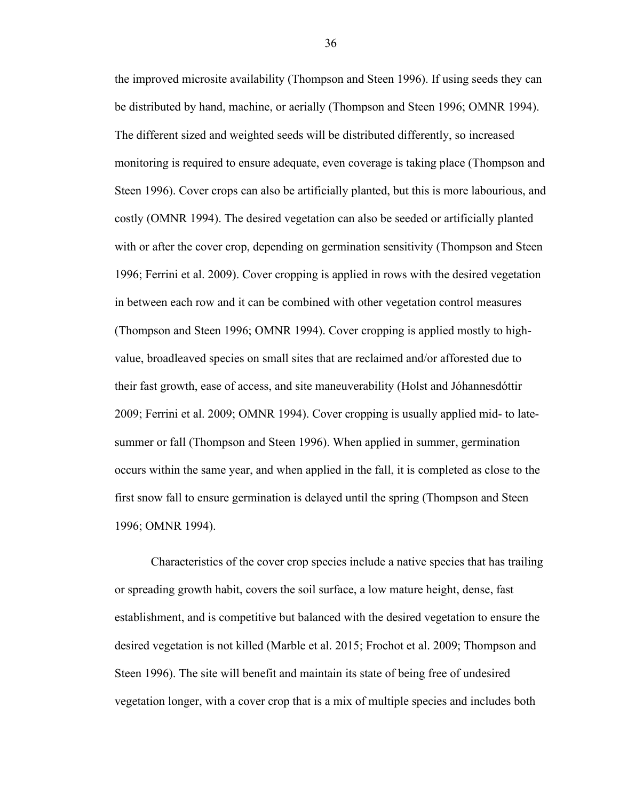the improved microsite availability (Thompson and Steen 1996). If using seeds they can be distributed by hand, machine, or aerially (Thompson and Steen 1996; OMNR 1994). The different sized and weighted seeds will be distributed differently, so increased monitoring is required to ensure adequate, even coverage is taking place (Thompson and Steen 1996). Cover crops can also be artificially planted, but this is more labourious, and costly (OMNR 1994). The desired vegetation can also be seeded or artificially planted with or after the cover crop, depending on germination sensitivity (Thompson and Steen 1996; Ferrini et al. 2009). Cover cropping is applied in rows with the desired vegetation in between each row and it can be combined with other vegetation control measures (Thompson and Steen 1996; OMNR 1994). Cover cropping is applied mostly to highvalue, broadleaved species on small sites that are reclaimed and/or afforested due to their fast growth, ease of access, and site maneuverability (Holst and Jóhannesdóttir 2009; Ferrini et al. 2009; OMNR 1994). Cover cropping is usually applied mid- to latesummer or fall (Thompson and Steen 1996). When applied in summer, germination occurs within the same year, and when applied in the fall, it is completed as close to the first snow fall to ensure germination is delayed until the spring (Thompson and Steen 1996; OMNR 1994).

Characteristics of the cover crop species include a native species that has trailing or spreading growth habit, covers the soil surface, a low mature height, dense, fast establishment, and is competitive but balanced with the desired vegetation to ensure the desired vegetation is not killed (Marble et al. 2015; Frochot et al. 2009; Thompson and Steen 1996). The site will benefit and maintain its state of being free of undesired vegetation longer, with a cover crop that is a mix of multiple species and includes both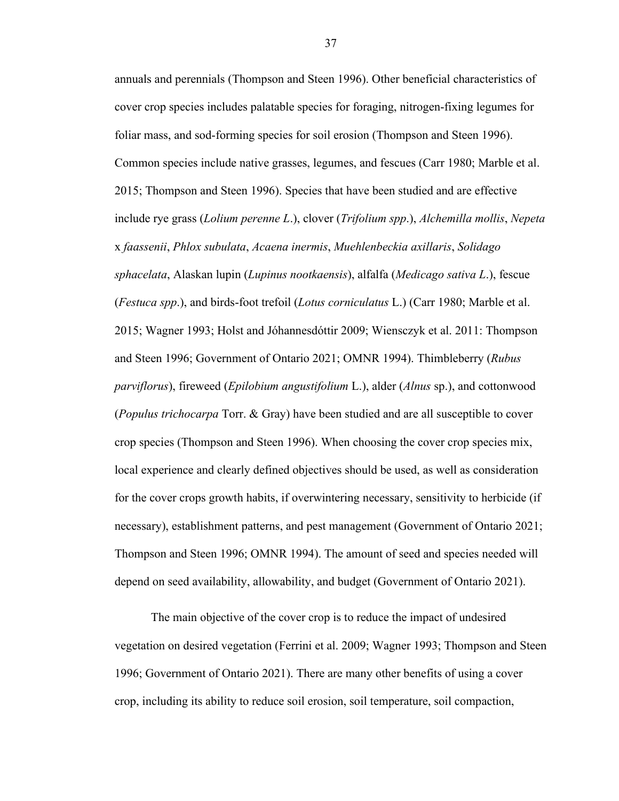annuals and perennials (Thompson and Steen 1996). Other beneficial characteristics of cover crop species includes palatable species for foraging, nitrogen-fixing legumes for foliar mass, and sod-forming species for soil erosion (Thompson and Steen 1996). Common species include native grasses, legumes, and fescues (Carr 1980; Marble et al. 2015; Thompson and Steen 1996). Species that have been studied and are effective include rye grass (*Lolium perenne L*.), clover (*Trifolium spp*.), *Alchemilla mollis*, *Nepeta* x *faassenii*, *Phlox subulata*, *Acaena inermis*, *Muehlenbeckia axillaris*, *Solidago sphacelata*, Alaskan lupin (*Lupinus nootkaensis*), alfalfa (*Medicago sativa L*.), fescue (*Festuca spp*.), and birds-foot trefoil (*Lotus corniculatus* L.) (Carr 1980; Marble et al. 2015; Wagner 1993; Holst and Jóhannesdóttir 2009; Wiensczyk et al. 2011: Thompson and Steen 1996; Government of Ontario 2021; OMNR 1994). Thimbleberry (*Rubus parviflorus*), fireweed (*Epilobium angustifolium* L.), alder (*Alnus* sp.), and cottonwood (*Populus trichocarpa* Torr. & Gray) have been studied and are all susceptible to cover crop species (Thompson and Steen 1996). When choosing the cover crop species mix, local experience and clearly defined objectives should be used, as well as consideration for the cover crops growth habits, if overwintering necessary, sensitivity to herbicide (if necessary), establishment patterns, and pest management (Government of Ontario 2021; Thompson and Steen 1996; OMNR 1994). The amount of seed and species needed will depend on seed availability, allowability, and budget (Government of Ontario 2021).

The main objective of the cover crop is to reduce the impact of undesired vegetation on desired vegetation (Ferrini et al. 2009; Wagner 1993; Thompson and Steen 1996; Government of Ontario 2021). There are many other benefits of using a cover crop, including its ability to reduce soil erosion, soil temperature, soil compaction,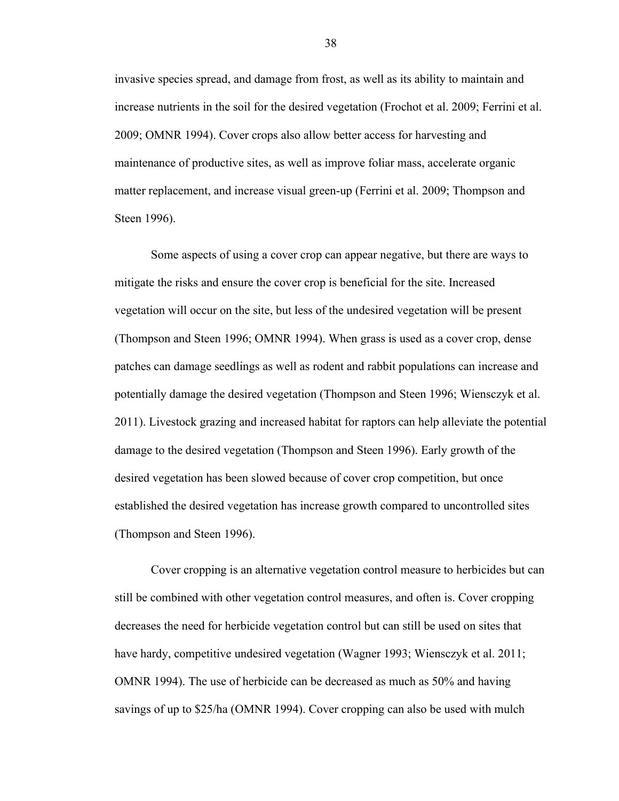invasive species spread, and damage from frost, as well as its ability to maintain and increase nutrients in the soil for the desired vegetation (Frochot et al. 2009; Ferrini et al. 2009; OMNR 1994). Cover crops also allow better access for harvesting and maintenance of productive sites, as well as improve foliar mass, accelerate organic matter replacement, and increase visual green-up (Ferrini et al. 2009; Thompson and Steen 1996).

Some aspects of using a cover crop can appear negative, but there are ways to mitigate the risks and ensure the cover crop is beneficial for the site. Increased vegetation will occur on the site, but less of the undesired vegetation will be present (Thompson and Steen 1996; OMNR 1994). When grass is used as a cover crop, dense patches can damage seedlings as well as rodent and rabbit populations can increase and potentially damage the desired vegetation (Thompson and Steen 1996; Wiensczyk et al. 2011). Livestock grazing and increased habitat for raptors can help alleviate the potential damage to the desired vegetation (Thompson and Steen 1996). Early growth of the desired vegetation has been slowed because of cover crop competition, but once established the desired vegetation has increase growth compared to uncontrolled sites (Thompson and Steen 1996).

Cover cropping is an alternative vegetation control measure to herbicides but can still be combined with other vegetation control measures, and often is. Cover cropping decreases the need for herbicide vegetation control but can still be used on sites that have hardy, competitive undesired vegetation (Wagner 1993; Wiensczyk et al. 2011; OMNR 1994). The use of herbicide can be decreased as much as 50% and having savings of up to \$25/ha (OMNR 1994). Cover cropping can also be used with mulch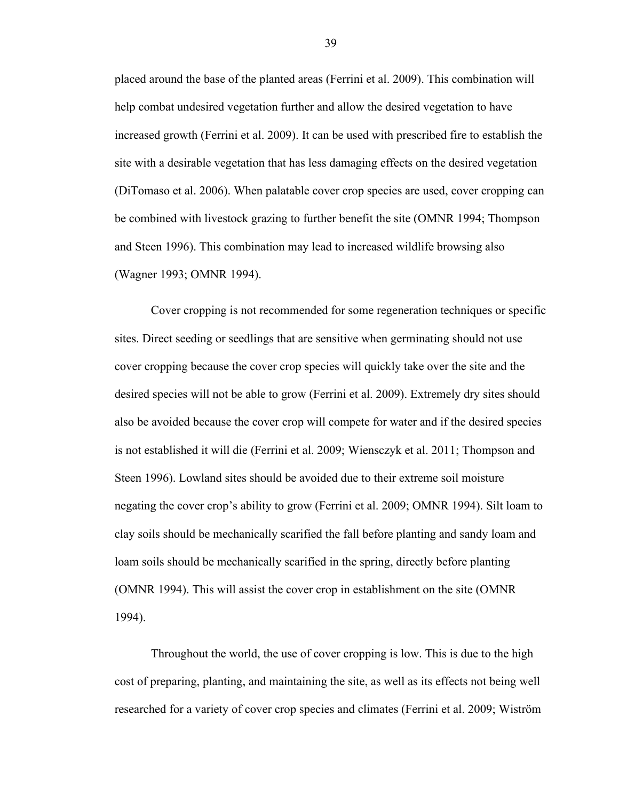placed around the base of the planted areas (Ferrini et al. 2009). This combination will help combat undesired vegetation further and allow the desired vegetation to have increased growth (Ferrini et al. 2009). It can be used with prescribed fire to establish the site with a desirable vegetation that has less damaging effects on the desired vegetation (DiTomaso et al. 2006). When palatable cover crop species are used, cover cropping can be combined with livestock grazing to further benefit the site (OMNR 1994; Thompson and Steen 1996). This combination may lead to increased wildlife browsing also (Wagner 1993; OMNR 1994).

Cover cropping is not recommended for some regeneration techniques or specific sites. Direct seeding or seedlings that are sensitive when germinating should not use cover cropping because the cover crop species will quickly take over the site and the desired species will not be able to grow (Ferrini et al. 2009). Extremely dry sites should also be avoided because the cover crop will compete for water and if the desired species is not established it will die (Ferrini et al. 2009; Wiensczyk et al. 2011; Thompson and Steen 1996). Lowland sites should be avoided due to their extreme soil moisture negating the cover crop's ability to grow (Ferrini et al. 2009; OMNR 1994). Silt loam to clay soils should be mechanically scarified the fall before planting and sandy loam and loam soils should be mechanically scarified in the spring, directly before planting (OMNR 1994). This will assist the cover crop in establishment on the site (OMNR 1994).

Throughout the world, the use of cover cropping is low. This is due to the high cost of preparing, planting, and maintaining the site, as well as its effects not being well researched for a variety of cover crop species and climates (Ferrini et al. 2009; Wiström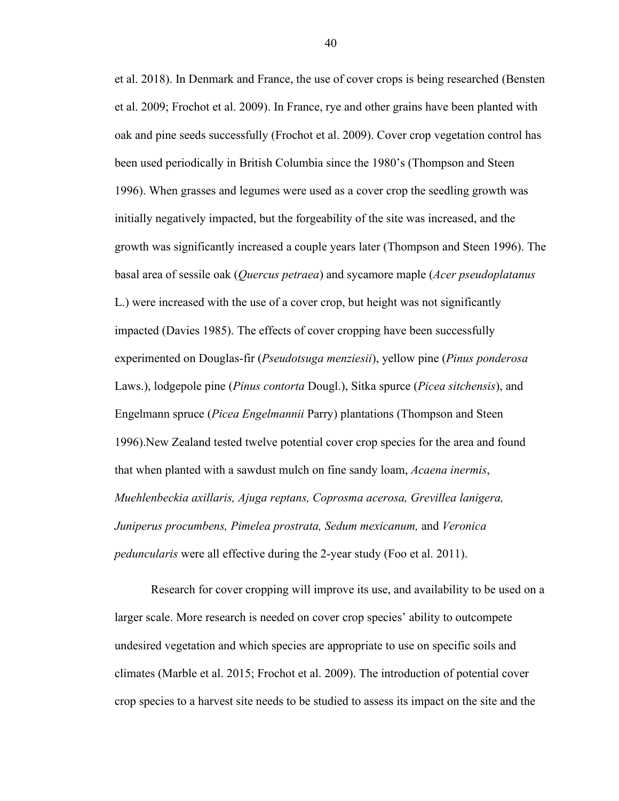et al. 2018). In Denmark and France, the use of cover crops is being researched (Bensten et al. 2009; Frochot et al. 2009). In France, rye and other grains have been planted with oak and pine seeds successfully (Frochot et al. 2009). Cover crop vegetation control has been used periodically in British Columbia since the 1980's (Thompson and Steen 1996). When grasses and legumes were used as a cover crop the seedling growth was initially negatively impacted, but the forgeability of the site was increased, and the growth was significantly increased a couple years later (Thompson and Steen 1996). The basal area of sessile oak (*Quercus petraea*) and sycamore maple (*Acer pseudoplatanus* L.) were increased with the use of a cover crop, but height was not significantly impacted (Davies 1985). The effects of cover cropping have been successfully experimented on Douglas-fir (*Pseudotsuga menziesii*), yellow pine (*Pinus ponderosa*  Laws.), lodgepole pine (*Pinus contorta* Dougl.), Sitka spurce (*Picea sitchensis*), and Engelmann spruce (*Picea Engelmannii* Parry) plantations (Thompson and Steen 1996).New Zealand tested twelve potential cover crop species for the area and found that when planted with a sawdust mulch on fine sandy loam, *Acaena inermis*, *Muehlenbeckia axillaris, Ajuga reptans, Coprosma acerosa, Grevillea lanigera, Juniperus procumbens, Pimelea prostrata, Sedum mexicanum,* and *Veronica peduncularis* were all effective during the 2-year study (Foo et al. 2011).

Research for cover cropping will improve its use, and availability to be used on a larger scale. More research is needed on cover crop species' ability to outcompete undesired vegetation and which species are appropriate to use on specific soils and climates (Marble et al. 2015; Frochot et al. 2009). The introduction of potential cover crop species to a harvest site needs to be studied to assess its impact on the site and the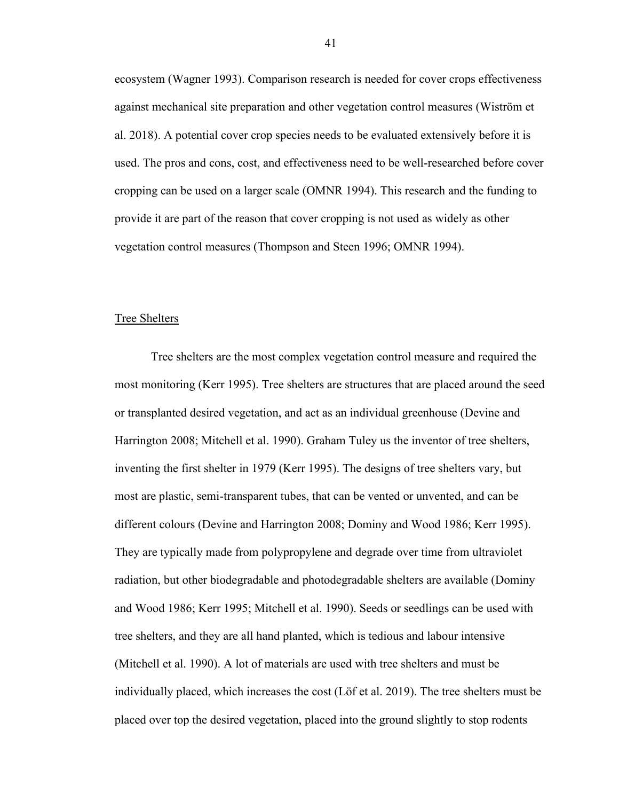ecosystem (Wagner 1993). Comparison research is needed for cover crops effectiveness against mechanical site preparation and other vegetation control measures (Wiström et al. 2018). A potential cover crop species needs to be evaluated extensively before it is used. The pros and cons, cost, and effectiveness need to be well-researched before cover cropping can be used on a larger scale (OMNR 1994). This research and the funding to provide it are part of the reason that cover cropping is not used as widely as other vegetation control measures (Thompson and Steen 1996; OMNR 1994).

#### <span id="page-48-0"></span>Tree Shelters

Tree shelters are the most complex vegetation control measure and required the most monitoring (Kerr 1995). Tree shelters are structures that are placed around the seed or transplanted desired vegetation, and act as an individual greenhouse (Devine and Harrington 2008; Mitchell et al. 1990). Graham Tuley us the inventor of tree shelters, inventing the first shelter in 1979 (Kerr 1995). The designs of tree shelters vary, but most are plastic, semi-transparent tubes, that can be vented or unvented, and can be different colours (Devine and Harrington 2008; Dominy and Wood 1986; Kerr 1995). They are typically made from polypropylene and degrade over time from ultraviolet radiation, but other biodegradable and photodegradable shelters are available (Dominy and Wood 1986; Kerr 1995; Mitchell et al. 1990). Seeds or seedlings can be used with tree shelters, and they are all hand planted, which is tedious and labour intensive (Mitchell et al. 1990). A lot of materials are used with tree shelters and must be individually placed, which increases the cost (Löf et al. 2019). The tree shelters must be placed over top the desired vegetation, placed into the ground slightly to stop rodents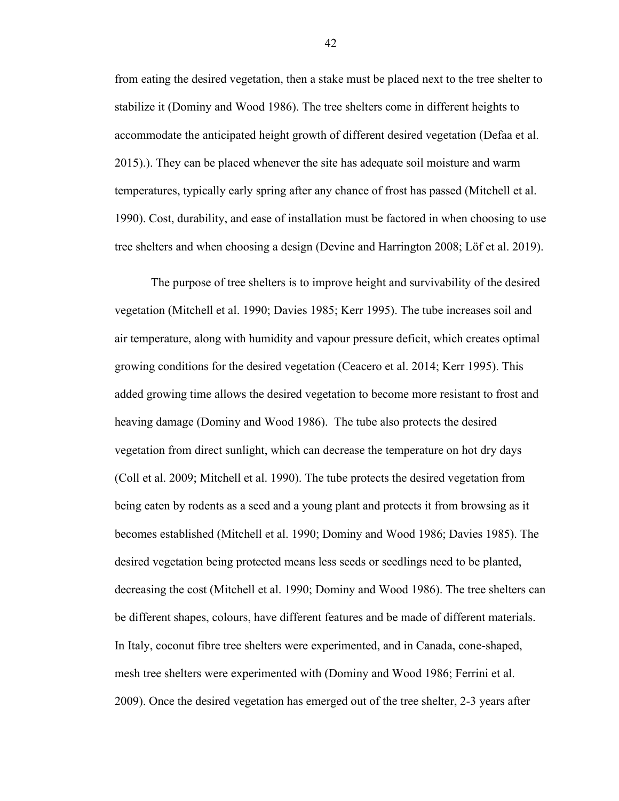from eating the desired vegetation, then a stake must be placed next to the tree shelter to stabilize it (Dominy and Wood 1986). The tree shelters come in different heights to accommodate the anticipated height growth of different desired vegetation (Defaa et al. 2015).). They can be placed whenever the site has adequate soil moisture and warm temperatures, typically early spring after any chance of frost has passed (Mitchell et al. 1990). Cost, durability, and ease of installation must be factored in when choosing to use tree shelters and when choosing a design (Devine and Harrington 2008; Löf et al. 2019).

The purpose of tree shelters is to improve height and survivability of the desired vegetation (Mitchell et al. 1990; Davies 1985; Kerr 1995). The tube increases soil and air temperature, along with humidity and vapour pressure deficit, which creates optimal growing conditions for the desired vegetation (Ceacero et al. 2014; Kerr 1995). This added growing time allows the desired vegetation to become more resistant to frost and heaving damage (Dominy and Wood 1986). The tube also protects the desired vegetation from direct sunlight, which can decrease the temperature on hot dry days (Coll et al. 2009; Mitchell et al. 1990). The tube protects the desired vegetation from being eaten by rodents as a seed and a young plant and protects it from browsing as it becomes established (Mitchell et al. 1990; Dominy and Wood 1986; Davies 1985). The desired vegetation being protected means less seeds or seedlings need to be planted, decreasing the cost (Mitchell et al. 1990; Dominy and Wood 1986). The tree shelters can be different shapes, colours, have different features and be made of different materials. In Italy, coconut fibre tree shelters were experimented, and in Canada, cone-shaped, mesh tree shelters were experimented with (Dominy and Wood 1986; Ferrini et al. 2009). Once the desired vegetation has emerged out of the tree shelter, 2-3 years after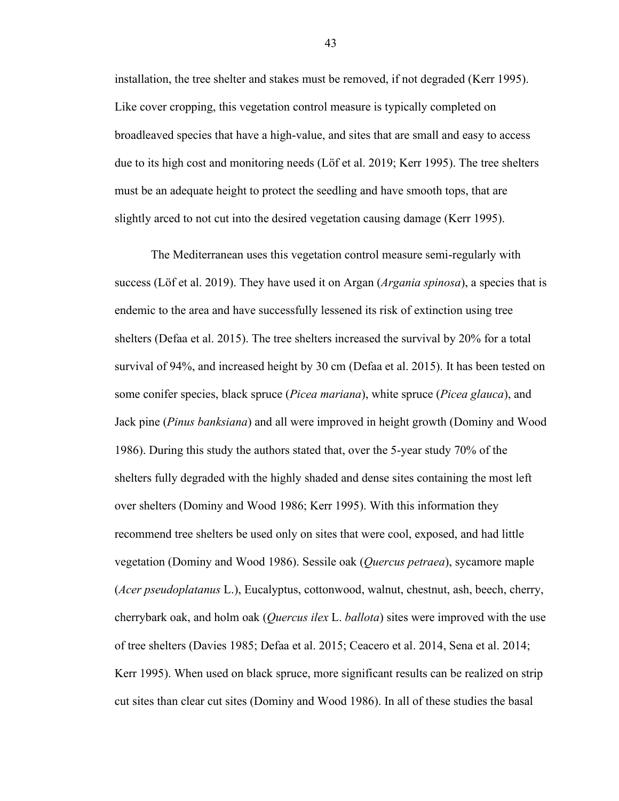installation, the tree shelter and stakes must be removed, if not degraded (Kerr 1995). Like cover cropping, this vegetation control measure is typically completed on broadleaved species that have a high-value, and sites that are small and easy to access due to its high cost and monitoring needs (Löf et al. 2019; Kerr 1995). The tree shelters must be an adequate height to protect the seedling and have smooth tops, that are slightly arced to not cut into the desired vegetation causing damage (Kerr 1995).

The Mediterranean uses this vegetation control measure semi-regularly with success (Löf et al. 2019). They have used it on Argan (*Argania spinosa*), a species that is endemic to the area and have successfully lessened its risk of extinction using tree shelters (Defaa et al. 2015). The tree shelters increased the survival by 20% for a total survival of 94%, and increased height by 30 cm (Defaa et al. 2015). It has been tested on some conifer species, black spruce (*Picea mariana*), white spruce (*Picea glauca*), and Jack pine (*Pinus banksiana*) and all were improved in height growth (Dominy and Wood 1986). During this study the authors stated that, over the 5-year study 70% of the shelters fully degraded with the highly shaded and dense sites containing the most left over shelters (Dominy and Wood 1986; Kerr 1995). With this information they recommend tree shelters be used only on sites that were cool, exposed, and had little vegetation (Dominy and Wood 1986). Sessile oak (*Quercus petraea*), sycamore maple (*Acer pseudoplatanus* L.), Eucalyptus, cottonwood, walnut, chestnut, ash, beech, cherry, cherrybark oak, and holm oak (*Quercus ilex* L. *ballota*) sites were improved with the use of tree shelters (Davies 1985; Defaa et al. 2015; Ceacero et al. 2014, Sena et al. 2014; Kerr 1995). When used on black spruce, more significant results can be realized on strip cut sites than clear cut sites (Dominy and Wood 1986). In all of these studies the basal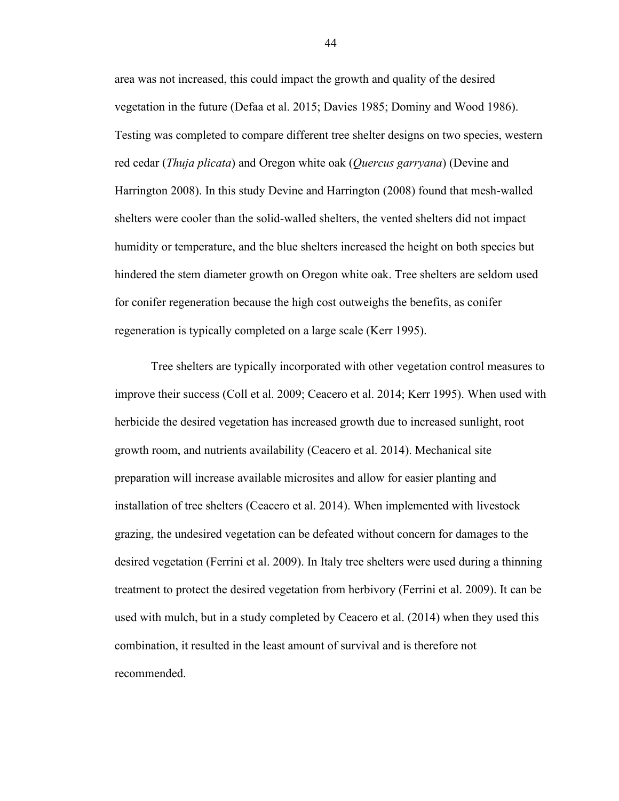area was not increased, this could impact the growth and quality of the desired vegetation in the future (Defaa et al. 2015; Davies 1985; Dominy and Wood 1986). Testing was completed to compare different tree shelter designs on two species, western red cedar (*Thuja plicata*) and Oregon white oak (*Quercus garryana*) (Devine and Harrington 2008). In this study Devine and Harrington (2008) found that mesh-walled shelters were cooler than the solid-walled shelters, the vented shelters did not impact humidity or temperature, and the blue shelters increased the height on both species but hindered the stem diameter growth on Oregon white oak. Tree shelters are seldom used for conifer regeneration because the high cost outweighs the benefits, as conifer regeneration is typically completed on a large scale (Kerr 1995).

Tree shelters are typically incorporated with other vegetation control measures to improve their success (Coll et al. 2009; Ceacero et al. 2014; Kerr 1995). When used with herbicide the desired vegetation has increased growth due to increased sunlight, root growth room, and nutrients availability (Ceacero et al. 2014). Mechanical site preparation will increase available microsites and allow for easier planting and installation of tree shelters (Ceacero et al. 2014). When implemented with livestock grazing, the undesired vegetation can be defeated without concern for damages to the desired vegetation (Ferrini et al. 2009). In Italy tree shelters were used during a thinning treatment to protect the desired vegetation from herbivory (Ferrini et al. 2009). It can be used with mulch, but in a study completed by Ceacero et al. (2014) when they used this combination, it resulted in the least amount of survival and is therefore not recommended.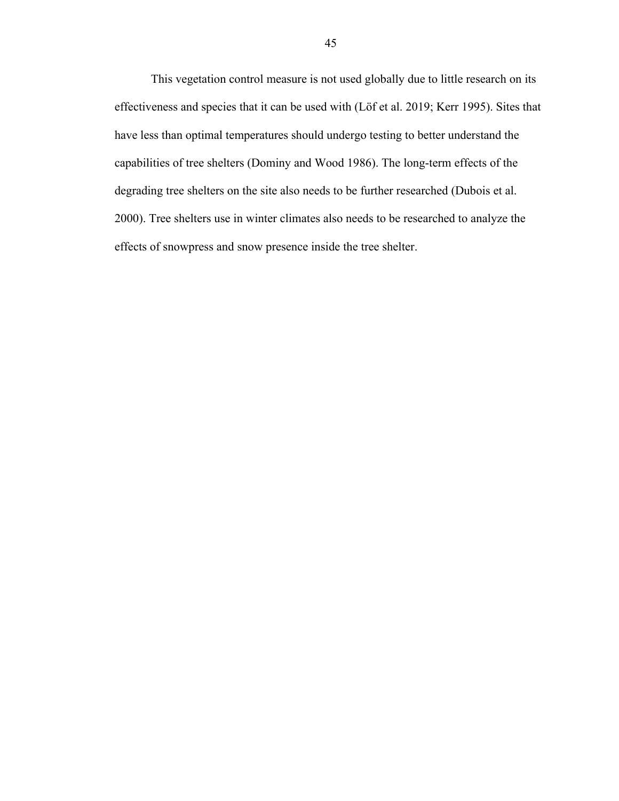This vegetation control measure is not used globally due to little research on its effectiveness and species that it can be used with (Löf et al. 2019; Kerr 1995). Sites that have less than optimal temperatures should undergo testing to better understand the capabilities of tree shelters (Dominy and Wood 1986). The long-term effects of the degrading tree shelters on the site also needs to be further researched (Dubois et al. 2000). Tree shelters use in winter climates also needs to be researched to analyze the effects of snowpress and snow presence inside the tree shelter.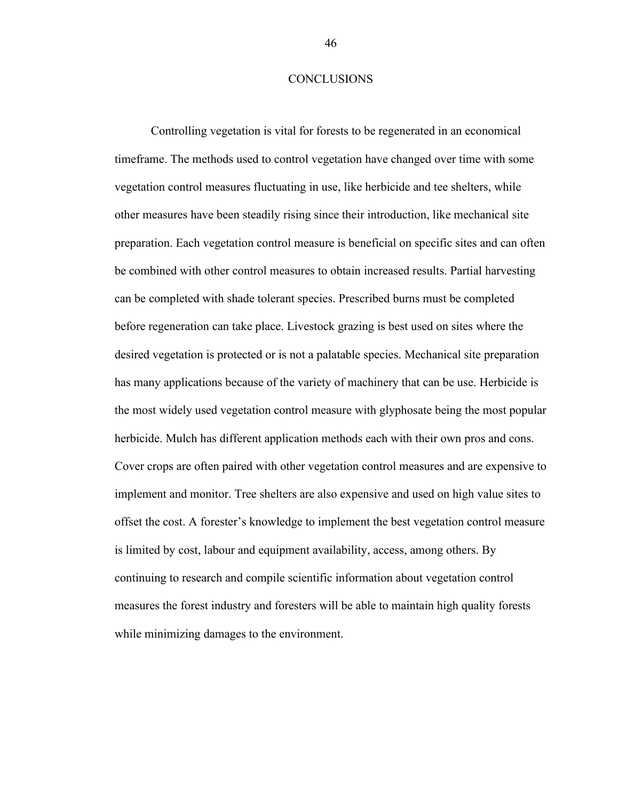#### **CONCLUSIONS**

<span id="page-53-0"></span>Controlling vegetation is vital for forests to be regenerated in an economical timeframe. The methods used to control vegetation have changed over time with some vegetation control measures fluctuating in use, like herbicide and tee shelters, while other measures have been steadily rising since their introduction, like mechanical site preparation. Each vegetation control measure is beneficial on specific sites and can often be combined with other control measures to obtain increased results. Partial harvesting can be completed with shade tolerant species. Prescribed burns must be completed before regeneration can take place. Livestock grazing is best used on sites where the desired vegetation is protected or is not a palatable species. Mechanical site preparation has many applications because of the variety of machinery that can be use. Herbicide is the most widely used vegetation control measure with glyphosate being the most popular herbicide. Mulch has different application methods each with their own pros and cons. Cover crops are often paired with other vegetation control measures and are expensive to implement and monitor. Tree shelters are also expensive and used on high value sites to offset the cost. A forester's knowledge to implement the best vegetation control measure is limited by cost, labour and equipment availability, access, among others. By continuing to research and compile scientific information about vegetation control measures the forest industry and foresters will be able to maintain high quality forests while minimizing damages to the environment.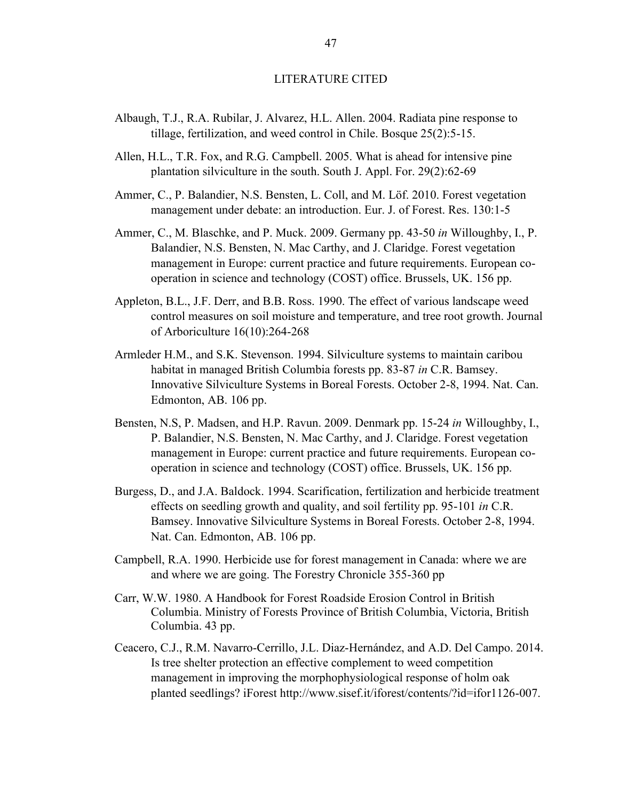#### LITERATURE CITED

- <span id="page-54-0"></span>Albaugh, T.J., R.A. Rubilar, J. Alvarez, H.L. Allen. 2004. Radiata pine response to tillage, fertilization, and weed control in Chile. Bosque 25(2):5-15.
- Allen, H.L., T.R. Fox, and R.G. Campbell. 2005. What is ahead for intensive pine plantation silviculture in the south. South J. Appl. For. 29(2):62-69
- Ammer, C., P. Balandier, N.S. Bensten, L. Coll, and M. Löf. 2010. Forest vegetation management under debate: an introduction. Eur. J. of Forest. Res. 130:1-5
- Ammer, C., M. Blaschke, and P. Muck. 2009. Germany pp. 43-50 *in* Willoughby, I., P. Balandier, N.S. Bensten, N. Mac Carthy, and J. Claridge. Forest vegetation management in Europe: current practice and future requirements. European cooperation in science and technology (COST) office. Brussels, UK. 156 pp.
- Appleton, B.L., J.F. Derr, and B.B. Ross. 1990. The effect of various landscape weed control measures on soil moisture and temperature, and tree root growth. Journal of Arboriculture 16(10):264-268
- Armleder H.M., and S.K. Stevenson. 1994. Silviculture systems to maintain caribou habitat in managed British Columbia forests pp. 83-87 *in* C.R. Bamsey. Innovative Silviculture Systems in Boreal Forests. October 2-8, 1994. Nat. Can. Edmonton, AB. 106 pp.
- Bensten, N.S, P. Madsen, and H.P. Ravun. 2009. Denmark pp. 15-24 *in* Willoughby, I., P. Balandier, N.S. Bensten, N. Mac Carthy, and J. Claridge. Forest vegetation management in Europe: current practice and future requirements. European cooperation in science and technology (COST) office. Brussels, UK. 156 pp.
- Burgess, D., and J.A. Baldock. 1994. Scarification, fertilization and herbicide treatment effects on seedling growth and quality, and soil fertility pp. 95-101 *in* C.R. Bamsey. Innovative Silviculture Systems in Boreal Forests. October 2-8, 1994. Nat. Can. Edmonton, AB. 106 pp.
- Campbell, R.A. 1990. Herbicide use for forest management in Canada: where we are and where we are going. The Forestry Chronicle 355-360 pp
- Carr, W.W. 1980. A Handbook for Forest Roadside Erosion Control in British Columbia. Ministry of Forests Province of British Columbia, Victoria, British Columbia. 43 pp.
- Ceacero, C.J., R.M. Navarro-Cerrillo, J.L. Diaz-Hernández, and A.D. Del Campo. 2014. Is tree shelter protection an effective complement to weed competition management in improving the morphophysiological response of holm oak planted seedlings? iForest http://www.sisef.it/iforest/contents/?id=ifor1126-007.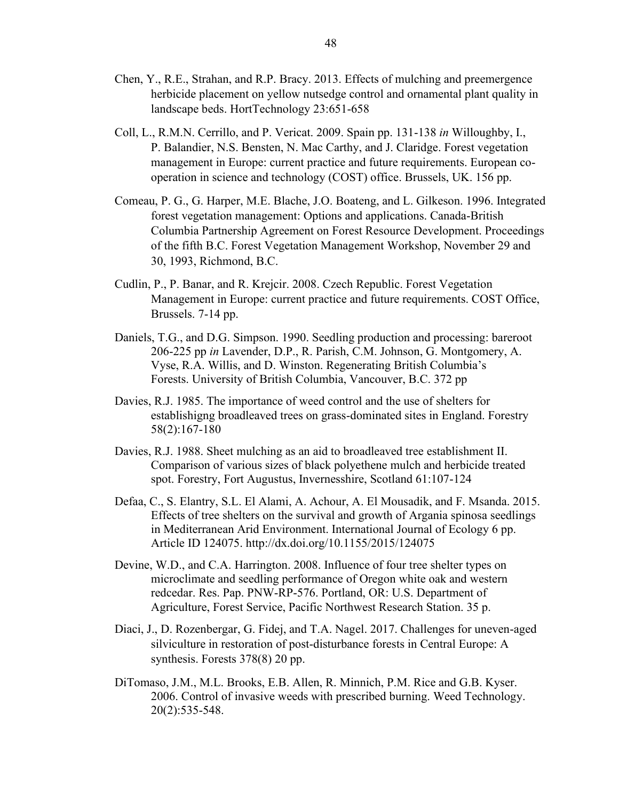- Chen, Y., R.E., Strahan, and R.P. Bracy. 2013. Effects of mulching and preemergence herbicide placement on yellow nutsedge control and ornamental plant quality in landscape beds. HortTechnology 23:651-658
- Coll, L., R.M.N. Cerrillo, and P. Vericat. 2009. Spain pp. 131-138 *in* Willoughby, I., P. Balandier, N.S. Bensten, N. Mac Carthy, and J. Claridge. Forest vegetation management in Europe: current practice and future requirements. European cooperation in science and technology (COST) office. Brussels, UK. 156 pp.
- Comeau, P. G., G. Harper, M.E. Blache, J.O. Boateng, and L. Gilkeson. 1996. Integrated forest vegetation management: Options and applications. Canada-British Columbia Partnership Agreement on Forest Resource Development. Proceedings of the fifth B.C. Forest Vegetation Management Workshop, November 29 and 30, 1993, Richmond, B.C.
- Cudlin, P., P. Banar, and R. Krejcir. 2008. Czech Republic. Forest Vegetation Management in Europe: current practice and future requirements. COST Office, Brussels. 7-14 pp.
- Daniels, T.G., and D.G. Simpson. 1990. Seedling production and processing: bareroot 206-225 pp *in* Lavender, D.P., R. Parish, C.M. Johnson, G. Montgomery, A. Vyse, R.A. Willis, and D. Winston. Regenerating British Columbia's Forests. University of British Columbia, Vancouver, B.C. 372 pp
- Davies, R.J. 1985. The importance of weed control and the use of shelters for establishigng broadleaved trees on grass-dominated sites in England. Forestry 58(2):167-180
- Davies, R.J. 1988. Sheet mulching as an aid to broadleaved tree establishment II. Comparison of various sizes of black polyethene mulch and herbicide treated spot. Forestry, Fort Augustus, Invernesshire, Scotland 61:107-124
- Defaa, C., S. Elantry, S.L. El Alami, A. Achour, A. El Mousadik, and F. Msanda. 2015. Effects of tree shelters on the survival and growth of Argania spinosa seedlings in Mediterranean Arid Environment. International Journal of Ecology 6 pp. Article ID 124075. http://dx.doi.org/10.1155/2015/124075
- Devine, W.D., and C.A. Harrington. 2008. Influence of four tree shelter types on microclimate and seedling performance of Oregon white oak and western redcedar. Res. Pap. PNW-RP-576. Portland, OR: U.S. Department of Agriculture, Forest Service, Pacific Northwest Research Station. 35 p.
- Diaci, J., D. Rozenbergar, G. Fidej, and T.A. Nagel. 2017. Challenges for uneven-aged silviculture in restoration of post-disturbance forests in Central Europe: A synthesis. Forests 378(8) 20 pp.
- DiTomaso, J.M., M.L. Brooks, E.B. Allen, R. Minnich, P.M. Rice and G.B. Kyser. 2006. Control of invasive weeds with prescribed burning. Weed Technology. 20(2):535-548.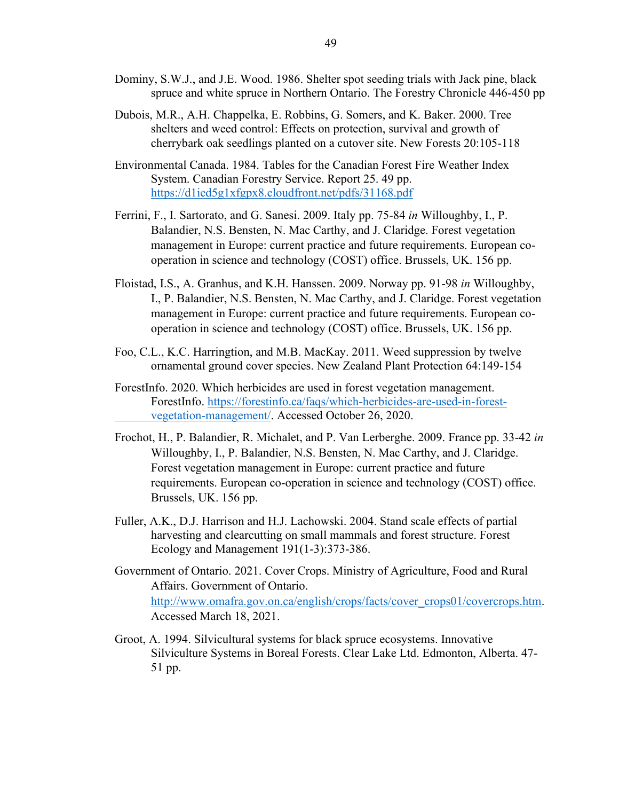- Dominy, S.W.J., and J.E. Wood. 1986. Shelter spot seeding trials with Jack pine, black spruce and white spruce in Northern Ontario. The Forestry Chronicle 446-450 pp
- Dubois, M.R., A.H. Chappelka, E. Robbins, G. Somers, and K. Baker. 2000. Tree shelters and weed control: Effects on protection, survival and growth of cherrybark oak seedlings planted on a cutover site. New Forests 20:105-118
- Environmental Canada. 1984. Tables for the Canadian Forest Fire Weather Index System. Canadian Forestry Service. Report 25. 49 pp. <https://d1ied5g1xfgpx8.cloudfront.net/pdfs/31168.pdf>
- Ferrini, F., I. Sartorato, and G. Sanesi. 2009. Italy pp. 75-84 *in* Willoughby, I., P. Balandier, N.S. Bensten, N. Mac Carthy, and J. Claridge. Forest vegetation management in Europe: current practice and future requirements. European cooperation in science and technology (COST) office. Brussels, UK. 156 pp.
- Floistad, I.S., A. Granhus, and K.H. Hanssen. 2009. Norway pp. 91-98 *in* Willoughby, I., P. Balandier, N.S. Bensten, N. Mac Carthy, and J. Claridge. Forest vegetation management in Europe: current practice and future requirements. European cooperation in science and technology (COST) office. Brussels, UK. 156 pp.
- Foo, C.L., K.C. Harringtion, and M.B. MacKay. 2011. Weed suppression by twelve ornamental ground cover species. New Zealand Plant Protection 64:149-154
- ForestInfo. 2020. Which herbicides are used in forest vegetation management. ForestInfo. [https://forestinfo.ca/faqs/which-herbicides-are-used-in-forest](https://forestinfo.ca/faqs/which-herbicides-are-used-in-forest-%09vegetation-management/)[vegetation-management/.](https://forestinfo.ca/faqs/which-herbicides-are-used-in-forest-%09vegetation-management/) Accessed October 26, 2020.
- Frochot, H., P. Balandier, R. Michalet, and P. Van Lerberghe. 2009. France pp. 33-42 *in* Willoughby, I., P. Balandier, N.S. Bensten, N. Mac Carthy, and J. Claridge. Forest vegetation management in Europe: current practice and future requirements. European co-operation in science and technology (COST) office. Brussels, UK. 156 pp.
- Fuller, A.K., D.J. Harrison and H.J. Lachowski. 2004. Stand scale effects of partial harvesting and clearcutting on small mammals and forest structure. Forest Ecology and Management 191(1-3):373-386.
- Government of Ontario. 2021. Cover Crops. Ministry of Agriculture, Food and Rural Affairs. Government of Ontario. [http://www.omafra.gov.on.ca/english/crops/facts/cover\\_crops01/covercrops.htm.](http://www.omafra.gov.on.ca/english/crops/facts/cover_crops01/covercrops.htm) Accessed March 18, 2021.
- Groot, A. 1994. Silvicultural systems for black spruce ecosystems. Innovative Silviculture Systems in Boreal Forests. Clear Lake Ltd. Edmonton, Alberta. 47- 51 pp.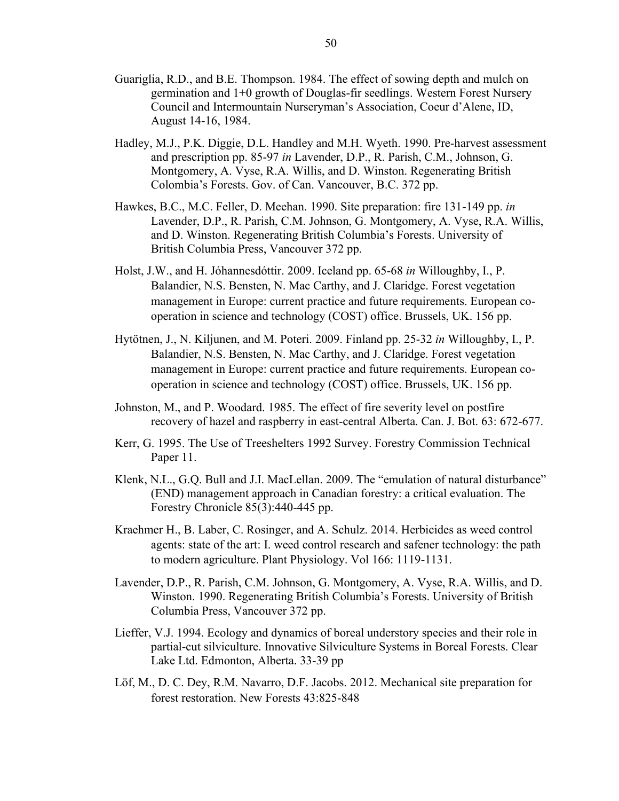- Guariglia, R.D., and B.E. Thompson. 1984. The effect of sowing depth and mulch on germination and 1+0 growth of Douglas-fir seedlings. Western Forest Nursery Council and Intermountain Nurseryman's Association, Coeur d'Alene, ID, August 14-16, 1984.
- Hadley, M.J., P.K. Diggie, D.L. Handley and M.H. Wyeth. 1990. Pre-harvest assessment and prescription pp. 85-97 *in* Lavender, D.P., R. Parish, C.M., Johnson, G. Montgomery, A. Vyse, R.A. Willis, and D. Winston. Regenerating British Colombia's Forests. Gov. of Can. Vancouver, B.C. 372 pp.
- Hawkes, B.C., M.C. Feller, D. Meehan. 1990. Site preparation: fire 131-149 pp. *in* Lavender, D.P., R. Parish, C.M. Johnson, G. Montgomery, A. Vyse, R.A. Willis, and D. Winston. Regenerating British Columbia's Forests. University of British Columbia Press, Vancouver 372 pp.
- Holst, J.W., and H. Jóhannesdóttir. 2009. Iceland pp. 65-68 *in* Willoughby, I., P. Balandier, N.S. Bensten, N. Mac Carthy, and J. Claridge. Forest vegetation management in Europe: current practice and future requirements. European cooperation in science and technology (COST) office. Brussels, UK. 156 pp.
- Hytötnen, J., N. Kiljunen, and M. Poteri. 2009. Finland pp. 25-32 *in* Willoughby, I., P. Balandier, N.S. Bensten, N. Mac Carthy, and J. Claridge. Forest vegetation management in Europe: current practice and future requirements. European cooperation in science and technology (COST) office. Brussels, UK. 156 pp.
- Johnston, M., and P. Woodard. 1985. The effect of fire severity level on postfire recovery of hazel and raspberry in east-central Alberta. Can. J. Bot. 63: 672-677.
- Kerr, G. 1995. The Use of Treeshelters 1992 Survey. Forestry Commission Technical Paper 11.
- Klenk, N.L., G.Q. Bull and J.I. MacLellan. 2009. The "emulation of natural disturbance" (END) management approach in Canadian forestry: a critical evaluation. The Forestry Chronicle 85(3):440-445 pp.
- Kraehmer H., B. Laber, C. Rosinger, and A. Schulz. 2014. Herbicides as weed control agents: state of the art: I. weed control research and safener technology: the path to modern agriculture. Plant Physiology. Vol 166: 1119-1131.
- Lavender, D.P., R. Parish, C.M. Johnson, G. Montgomery, A. Vyse, R.A. Willis, and D. Winston. 1990. Regenerating British Columbia's Forests. University of British Columbia Press, Vancouver 372 pp.
- Lieffer, V.J. 1994. Ecology and dynamics of boreal understory species and their role in partial-cut silviculture. Innovative Silviculture Systems in Boreal Forests. Clear Lake Ltd. Edmonton, Alberta. 33-39 pp
- Löf, M., D. C. Dey, R.M. Navarro, D.F. Jacobs. 2012. Mechanical site preparation for forest restoration. New Forests 43:825-848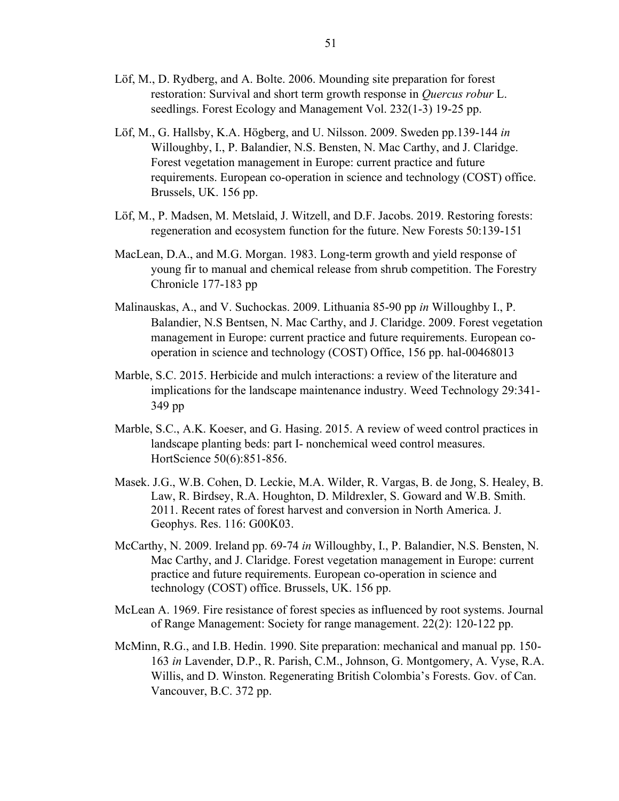- Löf, M., D. Rydberg, and A. Bolte. 2006. Mounding site preparation for forest restoration: Survival and short term growth response in *Quercus robur* L. seedlings. Forest Ecology and Management Vol. 232(1-3) 19-25 pp.
- Löf, M., G. Hallsby, K.A. Högberg, and U. Nilsson. 2009. Sweden pp.139-144 *in* Willoughby, I., P. Balandier, N.S. Bensten, N. Mac Carthy, and J. Claridge. Forest vegetation management in Europe: current practice and future requirements. European co-operation in science and technology (COST) office. Brussels, UK. 156 pp.
- Löf, M., P. Madsen, M. Metslaid, J. Witzell, and D.F. Jacobs. 2019. Restoring forests: regeneration and ecosystem function for the future. New Forests 50:139-151
- MacLean, D.A., and M.G. Morgan. 1983. Long-term growth and yield response of young fir to manual and chemical release from shrub competition. The Forestry Chronicle 177-183 pp
- Malinauskas, A., and V. Suchockas. 2009. Lithuania 85-90 pp *in* Willoughby I., P. Balandier, N.S Bentsen, N. Mac Carthy, and J. Claridge. 2009. Forest vegetation management in Europe: current practice and future requirements. European cooperation in science and technology (COST) Office, 156 pp. hal-00468013
- Marble, S.C. 2015. Herbicide and mulch interactions: a review of the literature and implications for the landscape maintenance industry. Weed Technology 29:341- 349 pp
- Marble, S.C., A.K. Koeser, and G. Hasing. 2015. A review of weed control practices in landscape planting beds: part I- nonchemical weed control measures. HortScience 50(6):851-856.
- Masek. J.G., W.B. Cohen, D. Leckie, M.A. Wilder, R. Vargas, B. de Jong, S. Healey, B. Law, R. Birdsey, R.A. Houghton, D. Mildrexler, S. Goward and W.B. Smith. 2011. Recent rates of forest harvest and conversion in North America. J. Geophys. Res. 116: G00K03.
- McCarthy, N. 2009. Ireland pp. 69-74 *in* Willoughby, I., P. Balandier, N.S. Bensten, N. Mac Carthy, and J. Claridge. Forest vegetation management in Europe: current practice and future requirements. European co-operation in science and technology (COST) office. Brussels, UK. 156 pp.
- McLean A. 1969. Fire resistance of forest species as influenced by root systems. Journal of Range Management: Society for range management. 22(2): 120-122 pp.
- McMinn, R.G., and I.B. Hedin. 1990. Site preparation: mechanical and manual pp. 150- 163 *in* Lavender, D.P., R. Parish, C.M., Johnson, G. Montgomery, A. Vyse, R.A. Willis, and D. Winston. Regenerating British Colombia's Forests. Gov. of Can. Vancouver, B.C. 372 pp.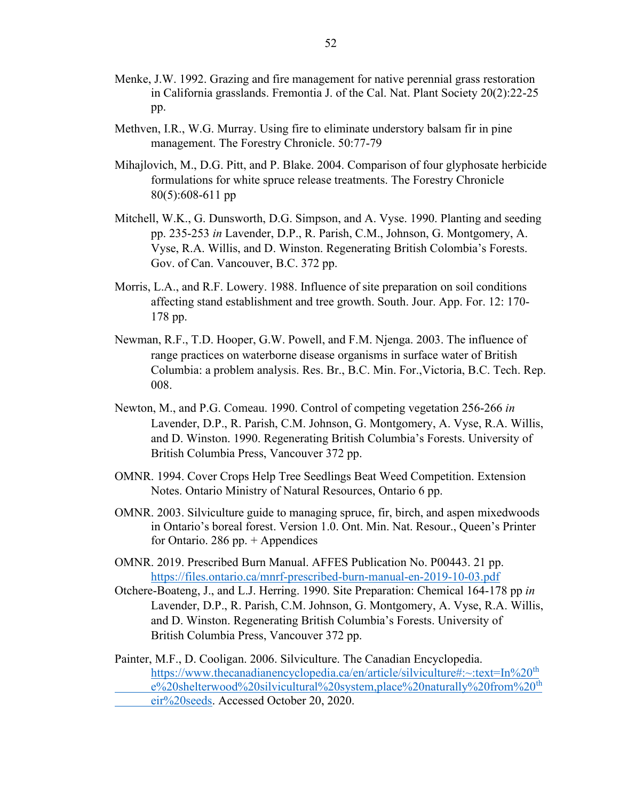- Menke, J.W. 1992. Grazing and fire management for native perennial grass restoration in California grasslands. Fremontia J. of the Cal. Nat. Plant Society 20(2):22-25 pp.
- Methven, I.R., W.G. Murray. Using fire to eliminate understory balsam fir in pine management. The Forestry Chronicle. 50:77-79
- Mihajlovich, M., D.G. Pitt, and P. Blake. 2004. Comparison of four glyphosate herbicide formulations for white spruce release treatments. The Forestry Chronicle 80(5):608-611 pp
- Mitchell, W.K., G. Dunsworth, D.G. Simpson, and A. Vyse. 1990. Planting and seeding pp. 235-253 *in* Lavender, D.P., R. Parish, C.M., Johnson, G. Montgomery, A. Vyse, R.A. Willis, and D. Winston. Regenerating British Colombia's Forests. Gov. of Can. Vancouver, B.C. 372 pp.
- Morris, L.A., and R.F. Lowery. 1988. Influence of site preparation on soil conditions affecting stand establishment and tree growth. South. Jour. App. For. 12: 170- 178 pp.
- Newman, R.F., T.D. Hooper, G.W. Powell, and F.M. Njenga. 2003. The influence of range practices on waterborne disease organisms in surface water of British Columbia: a problem analysis. Res. Br., B.C. Min. For.,Victoria, B.C. Tech. Rep. 008.
- Newton, M., and P.G. Comeau. 1990. Control of competing vegetation 256-266 *in* Lavender, D.P., R. Parish, C.M. Johnson, G. Montgomery, A. Vyse, R.A. Willis, and D. Winston. 1990. Regenerating British Columbia's Forests. University of British Columbia Press, Vancouver 372 pp.
- OMNR. 1994. Cover Crops Help Tree Seedlings Beat Weed Competition. Extension Notes. Ontario Ministry of Natural Resources, Ontario 6 pp.
- OMNR. 2003. Silviculture guide to managing spruce, fir, birch, and aspen mixedwoods in Ontario's boreal forest. Version 1.0. Ont. Min. Nat. Resour., Queen's Printer for Ontario. 286 pp.  $+$  Appendices
- OMNR. 2019. Prescribed Burn Manual. AFFES Publication No. P00443. 21 pp. <https://files.ontario.ca/mnrf-prescribed-burn-manual-en-2019-10-03.pdf>
- Otchere-Boateng, J., and L.J. Herring. 1990. Site Preparation: Chemical 164-178 pp *in*  Lavender, D.P., R. Parish, C.M. Johnson, G. Montgomery, A. Vyse, R.A. Willis, and D. Winston. Regenerating British Columbia's Forests. University of British Columbia Press, Vancouver 372 pp.
- Painter, M.F., D. Cooligan. 2006. Silviculture. The Canadian Encyclopedia. [https://www.thecanadianencyclopedia.ca/en/article/silviculture#:~:text=In%20](https://www.thecanadianencyclopedia.ca/en/article/silviculture#:~:text=In%20th e%20shelterwood%20silvicultural%20system,place%20naturally%20from%20th eir%20seeds)<sup>th</sup> [e%20shelterwood%20silvicultural%20system,place%20naturally%20from%20](https://www.thecanadianencyclopedia.ca/en/article/silviculture#:~:text=In%20th e%20shelterwood%20silvicultural%20system,place%20naturally%20from%20th eir%20seeds)th [eir%20seeds.](https://www.thecanadianencyclopedia.ca/en/article/silviculture#:~:text=In%20th e%20shelterwood%20silvicultural%20system,place%20naturally%20from%20th eir%20seeds) Accessed October 20, 2020.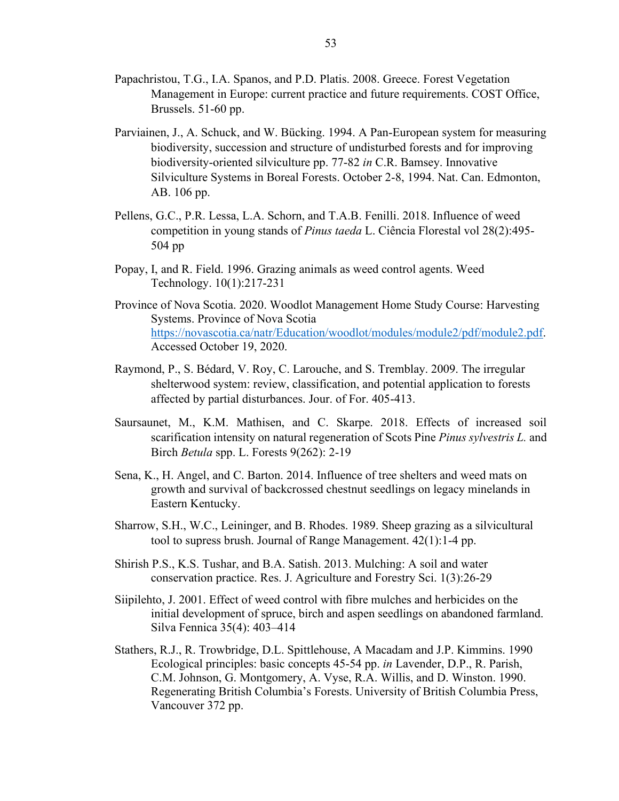- Papachristou, T.G., I.A. Spanos, and P.D. Platis. 2008. Greece. Forest Vegetation Management in Europe: current practice and future requirements. COST Office, Brussels. 51-60 pp.
- Parviainen, J., A. Schuck, and W. Bücking. 1994. A Pan-European system for measuring biodiversity, succession and structure of undisturbed forests and for improving biodiversity-oriented silviculture pp. 77-82 *in* C.R. Bamsey. Innovative Silviculture Systems in Boreal Forests. October 2-8, 1994. Nat. Can. Edmonton, AB. 106 pp.
- Pellens, G.C., P.R. Lessa, L.A. Schorn, and T.A.B. Fenilli. 2018. Influence of weed competition in young stands of *Pinus taeda* L. Ciência Florestal vol 28(2):495- 504 pp
- Popay, I, and R. Field. 1996. Grazing animals as weed control agents. Weed Technology. 10(1):217-231
- Province of Nova Scotia. 2020. Woodlot Management Home Study Course: Harvesting Systems. Province of Nova Scotia [https://novascotia.ca/natr/Education/woodlot/modules/module2/pdf/module2.pdf.](https://novascotia.ca/natr/Education/woodlot/modules/module2/pdf/module2.pdf) Accessed October 19, 2020.
- Raymond, P., S. Bédard, V. Roy, C. Larouche, and S. Tremblay. 2009. The irregular shelterwood system: review, classification, and potential application to forests affected by partial disturbances. Jour. of For. 405-413.
- Saursaunet, M., K.M. Mathisen, and C. Skarpe. 2018. Effects of increased soil scarification intensity on natural regeneration of Scots Pine *Pinus sylvestris L.* and Birch *Betula* spp. L. Forests 9(262): 2-19
- Sena, K., H. Angel, and C. Barton. 2014. Influence of tree shelters and weed mats on growth and survival of backcrossed chestnut seedlings on legacy minelands in Eastern Kentucky.
- Sharrow, S.H., W.C., Leininger, and B. Rhodes. 1989. Sheep grazing as a silvicultural tool to supress brush. Journal of Range Management. 42(1):1-4 pp.
- Shirish P.S., K.S. Tushar, and B.A. Satish. 2013. Mulching: A soil and water conservation practice. Res. J. Agriculture and Forestry Sci. 1(3):26-29
- Siipilehto, J. 2001. Effect of weed control with fibre mulches and herbicides on the initial development of spruce, birch and aspen seedlings on abandoned farmland. Silva Fennica 35(4): 403–414
- Stathers, R.J., R. Trowbridge, D.L. Spittlehouse, A Macadam and J.P. Kimmins. 1990 Ecological principles: basic concepts 45-54 pp. *in* Lavender, D.P., R. Parish, C.M. Johnson, G. Montgomery, A. Vyse, R.A. Willis, and D. Winston. 1990. Regenerating British Columbia's Forests. University of British Columbia Press, Vancouver 372 pp.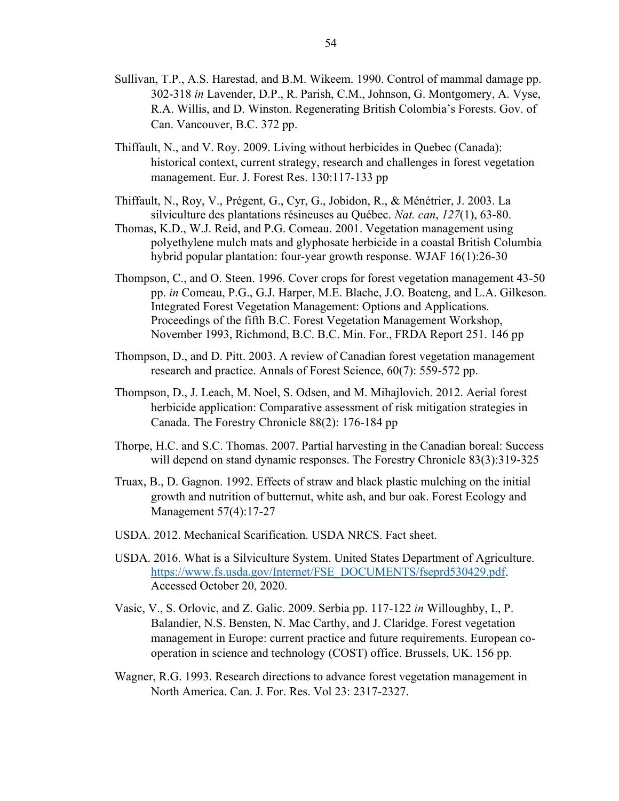- Sullivan, T.P., A.S. Harestad, and B.M. Wikeem. 1990. Control of mammal damage pp. 302-318 *in* Lavender, D.P., R. Parish, C.M., Johnson, G. Montgomery, A. Vyse, R.A. Willis, and D. Winston. Regenerating British Colombia's Forests. Gov. of Can. Vancouver, B.C. 372 pp.
- Thiffault, N., and V. Roy. 2009. Living without herbicides in Quebec (Canada): historical context, current strategy, research and challenges in forest vegetation management. Eur. J. Forest Res. 130:117-133 pp
- Thiffault, N., Roy, V., Prégent, G., Cyr, G., Jobidon, R., & Ménétrier, J. 2003. La silviculture des plantations résineuses au Québec. *Nat. can*, *127*(1), 63-80.
- Thomas, K.D., W.J. Reid, and P.G. Comeau. 2001. Vegetation management using polyethylene mulch mats and glyphosate herbicide in a coastal British Columbia hybrid popular plantation: four-year growth response. WJAF 16(1):26-30
- Thompson, C., and O. Steen. 1996. Cover crops for forest vegetation management 43-50 pp. *in* Comeau, P.G., G.J. Harper, M.E. Blache, J.O. Boateng, and L.A. Gilkeson. Integrated Forest Vegetation Management: Options and Applications. Proceedings of the fifth B.C. Forest Vegetation Management Workshop, November 1993, Richmond, B.C. B.C. Min. For., FRDA Report 251. 146 pp
- Thompson, D., and D. Pitt. 2003. A review of Canadian forest vegetation management research and practice. Annals of Forest Science, 60(7): 559-572 pp.
- Thompson, D., J. Leach, M. Noel, S. Odsen, and M. Mihajlovich. 2012. Aerial forest herbicide application: Comparative assessment of risk mitigation strategies in Canada. The Forestry Chronicle 88(2): 176-184 pp
- Thorpe, H.C. and S.C. Thomas. 2007. Partial harvesting in the Canadian boreal: Success will depend on stand dynamic responses. The Forestry Chronicle 83(3):319-325
- Truax, B., D. Gagnon. 1992. Effects of straw and black plastic mulching on the initial growth and nutrition of butternut, white ash, and bur oak. Forest Ecology and Management 57(4):17-27
- USDA. 2012. Mechanical Scarification. USDA NRCS. Fact sheet.
- USDA. 2016. What is a Silviculture System. United States Department of Agriculture. [https://www.fs.usda.gov/Internet/FSE\\_DOCUMENTS/fseprd530429.pdf.](https://www.fs.usda.gov/Internet/FSE_DOCUMENTS/fseprd530429.pdf) Accessed October 20, 2020.
- Vasic, V., S. Orlovic, and Z. Galic. 2009. Serbia pp. 117-122 *in* Willoughby, I., P. Balandier, N.S. Bensten, N. Mac Carthy, and J. Claridge. Forest vegetation management in Europe: current practice and future requirements. European cooperation in science and technology (COST) office. Brussels, UK. 156 pp.
- Wagner, R.G. 1993. Research directions to advance forest vegetation management in North America. Can. J. For. Res. Vol 23: 2317-2327.